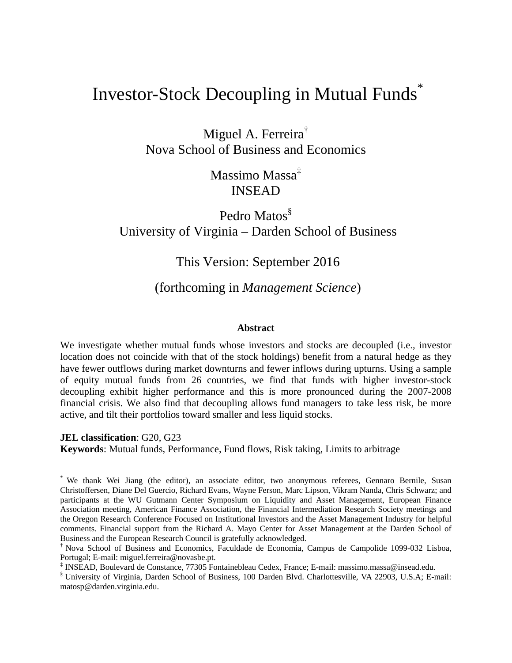# Investor-Stock Decoupling in Mutual Funds<sup>\*</sup>

Miguel A. Ferreira<sup>†</sup> Nova School of Business and Economics

> Massimo Massa‡ INSEAD

# Pedro Matos<sup>§</sup> University of Virginia – Darden School of Business

## This Version: September 2016

### (forthcoming in *Management Science*)

#### **Abstract**

We investigate whether mutual funds whose investors and stocks are decoupled (i.e., investor location does not coincide with that of the stock holdings) benefit from a natural hedge as they have fewer outflows during market downturns and fewer inflows during upturns. Using a sample of equity mutual funds from 26 countries, we find that funds with higher investor-stock decoupling exhibit higher performance and this is more pronounced during the 2007-2008 financial crisis. We also find that decoupling allows fund managers to take less risk, be more active, and tilt their portfolios toward smaller and less liquid stocks.

**JEL classification**: G20, G23

 $\overline{a}$ 

**Keywords**: Mutual funds, Performance, Fund flows, Risk taking, Limits to arbitrage

<sup>\*</sup> We thank Wei Jiang (the editor), an associate editor, two anonymous referees, Gennaro Bernile, Susan Christoffersen, Diane Del Guercio, Richard Evans, Wayne Ferson, Marc Lipson, Vikram Nanda, Chris Schwarz; and participants at the WU Gutmann Center Symposium on Liquidity and Asset Management, European Finance Association meeting, American Finance Association, the Financial Intermediation Research Society meetings and the Oregon Research Conference Focused on Institutional Investors and the Asset Management Industry for helpful comments. Financial support from the Richard A. Mayo Center for Asset Management at the Darden School of Business and the European Research Council is gratefully acknowledged.

<sup>†</sup> Nova School of Business and Economics, Faculdade de Economia, Campus de Campolide 1099-032 Lisboa, Portugal; E-mail: miguel.ferreira@novasbe.pt.

<sup>‡</sup> INSEAD, Boulevard de Constance, 77305 Fontainebleau Cedex, France; E-mail: massimo.massa@insead.edu.

<sup>§</sup> University of Virginia, Darden School of Business, 100 Darden Blvd. Charlottesville, VA 22903, U.S.A; E-mail: matosp@darden.virginia.edu.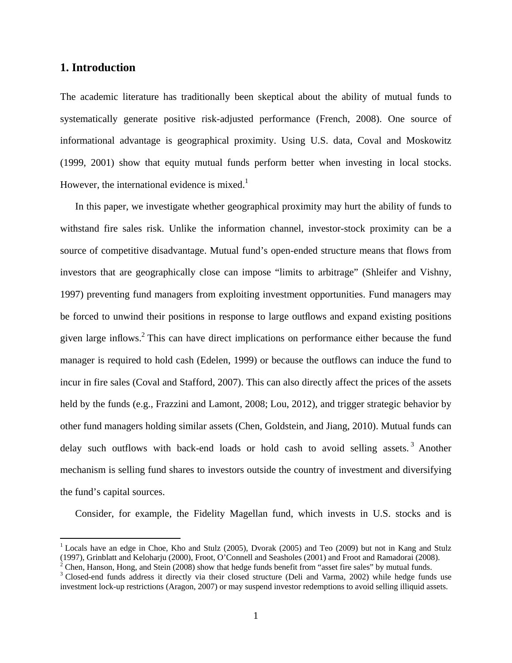#### **1. Introduction**

 $\overline{a}$ 

The academic literature has traditionally been skeptical about the ability of mutual funds to systematically generate positive risk-adjusted performance (French, 2008). One source of informational advantage is geographical proximity. Using U.S. data, Coval and Moskowitz (1999, 2001) show that equity mutual funds perform better when investing in local stocks. However, the international evidence is mixed.<sup>1</sup>

In this paper, we investigate whether geographical proximity may hurt the ability of funds to withstand fire sales risk. Unlike the information channel, investor-stock proximity can be a source of competitive disadvantage. Mutual fund's open-ended structure means that flows from investors that are geographically close can impose "limits to arbitrage" (Shleifer and Vishny, 1997) preventing fund managers from exploiting investment opportunities. Fund managers may be forced to unwind their positions in response to large outflows and expand existing positions given large inflows.<sup>2</sup> This can have direct implications on performance either because the fund manager is required to hold cash (Edelen, 1999) or because the outflows can induce the fund to incur in fire sales (Coval and Stafford, 2007). This can also directly affect the prices of the assets held by the funds (e.g., Frazzini and Lamont, 2008; Lou, 2012), and trigger strategic behavior by other fund managers holding similar assets (Chen, Goldstein, and Jiang, 2010). Mutual funds can delay such outflows with back-end loads or hold cash to avoid selling assets.<sup>3</sup> Another mechanism is selling fund shares to investors outside the country of investment and diversifying the fund's capital sources.

Consider, for example, the Fidelity Magellan fund, which invests in U.S. stocks and is

<sup>&</sup>lt;sup>1</sup> Locals have an edge in Choe, Kho and Stulz (2005), Dvorak (2005) and Teo (2009) but not in Kang and Stulz (1997), Grinblatt and Keloharju (2000), Froot, O'Connell and Seasholes (2001) and Froot and Ramadorai (2008).

 $2^2$  Chen, Hanson, Hong, and Stein (2008) show that hedge funds benefit from "asset fire sales" by mutual funds.

<sup>&</sup>lt;sup>3</sup> Closed-end funds address it directly via their closed structure (Deli and Varma, 2002) while hedge funds use investment lock-up restrictions (Aragon, 2007) or may suspend investor redemptions to avoid selling illiquid assets.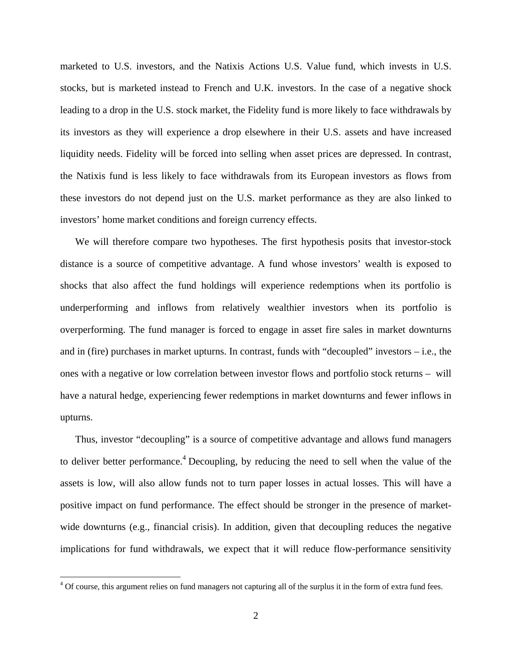marketed to U.S. investors, and the Natixis Actions U.S. Value fund, which invests in U.S. stocks, but is marketed instead to French and U.K. investors. In the case of a negative shock leading to a drop in the U.S. stock market, the Fidelity fund is more likely to face withdrawals by its investors as they will experience a drop elsewhere in their U.S. assets and have increased liquidity needs. Fidelity will be forced into selling when asset prices are depressed. In contrast, the Natixis fund is less likely to face withdrawals from its European investors as flows from these investors do not depend just on the U.S. market performance as they are also linked to investors' home market conditions and foreign currency effects.

We will therefore compare two hypotheses. The first hypothesis posits that investor-stock distance is a source of competitive advantage. A fund whose investors' wealth is exposed to shocks that also affect the fund holdings will experience redemptions when its portfolio is underperforming and inflows from relatively wealthier investors when its portfolio is overperforming. The fund manager is forced to engage in asset fire sales in market downturns and in (fire) purchases in market upturns. In contrast, funds with "decoupled" investors – i.e., the ones with a negative or low correlation between investor flows and portfolio stock returns – will have a natural hedge, experiencing fewer redemptions in market downturns and fewer inflows in upturns.

Thus, investor "decoupling" is a source of competitive advantage and allows fund managers to deliver better performance.<sup>4</sup> Decoupling, by reducing the need to sell when the value of the assets is low, will also allow funds not to turn paper losses in actual losses. This will have a positive impact on fund performance. The effect should be stronger in the presence of marketwide downturns (e.g., financial crisis). In addition, given that decoupling reduces the negative implications for fund withdrawals, we expect that it will reduce flow-performance sensitivity

<sup>&</sup>lt;sup>4</sup> Of course, this argument relies on fund managers not capturing all of the surplus it in the form of extra fund fees.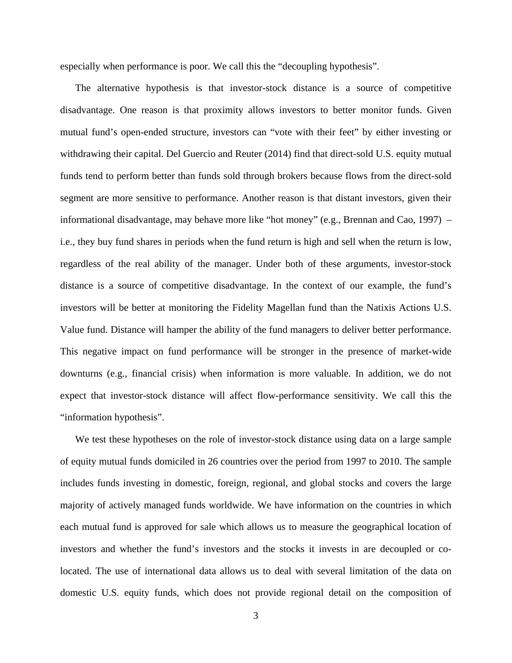especially when performance is poor. We call this the "decoupling hypothesis".

The alternative hypothesis is that investor-stock distance is a source of competitive disadvantage. One reason is that proximity allows investors to better monitor funds. Given mutual fund's open-ended structure, investors can "vote with their feet" by either investing or withdrawing their capital. Del Guercio and Reuter (2014) find that direct-sold U.S. equity mutual funds tend to perform better than funds sold through brokers because flows from the direct-sold segment are more sensitive to performance. Another reason is that distant investors, given their informational disadvantage, may behave more like "hot money" (e.g., Brennan and Cao, 1997) – i.e., they buy fund shares in periods when the fund return is high and sell when the return is low, regardless of the real ability of the manager. Under both of these arguments, investor-stock distance is a source of competitive disadvantage. In the context of our example, the fund's investors will be better at monitoring the Fidelity Magellan fund than the Natixis Actions U.S. Value fund. Distance will hamper the ability of the fund managers to deliver better performance. This negative impact on fund performance will be stronger in the presence of market-wide downturns (e.g., financial crisis) when information is more valuable. In addition, we do not expect that investor-stock distance will affect flow-performance sensitivity. We call this the "information hypothesis".

We test these hypotheses on the role of investor-stock distance using data on a large sample of equity mutual funds domiciled in 26 countries over the period from 1997 to 2010. The sample includes funds investing in domestic, foreign, regional, and global stocks and covers the large majority of actively managed funds worldwide. We have information on the countries in which each mutual fund is approved for sale which allows us to measure the geographical location of investors and whether the fund's investors and the stocks it invests in are decoupled or colocated. The use of international data allows us to deal with several limitation of the data on domestic U.S. equity funds, which does not provide regional detail on the composition of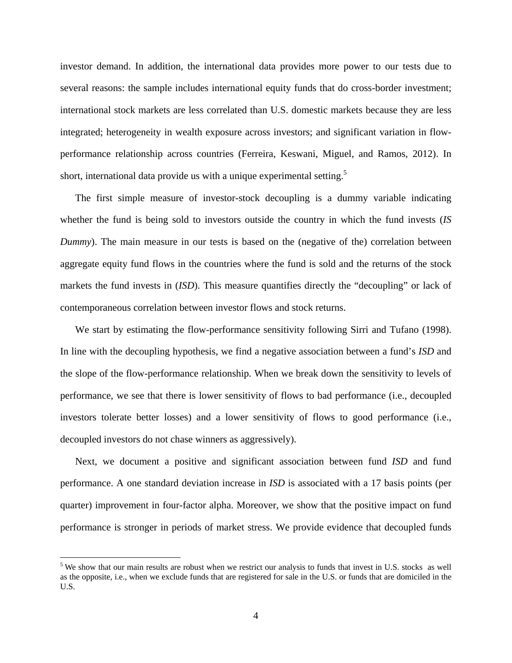investor demand. In addition, the international data provides more power to our tests due to several reasons: the sample includes international equity funds that do cross-border investment; international stock markets are less correlated than U.S. domestic markets because they are less integrated; heterogeneity in wealth exposure across investors; and significant variation in flowperformance relationship across countries (Ferreira, Keswani, Miguel, and Ramos, 2012). In short, international data provide us with a unique experimental setting.<sup>5</sup>

The first simple measure of investor-stock decoupling is a dummy variable indicating whether the fund is being sold to investors outside the country in which the fund invests (*IS Dummy*). The main measure in our tests is based on the (negative of the) correlation between aggregate equity fund flows in the countries where the fund is sold and the returns of the stock markets the fund invests in (*ISD*). This measure quantifies directly the "decoupling" or lack of contemporaneous correlation between investor flows and stock returns.

We start by estimating the flow-performance sensitivity following Sirri and Tufano (1998). In line with the decoupling hypothesis, we find a negative association between a fund's *ISD* and the slope of the flow-performance relationship. When we break down the sensitivity to levels of performance, we see that there is lower sensitivity of flows to bad performance (i.e., decoupled investors tolerate better losses) and a lower sensitivity of flows to good performance (i.e., decoupled investors do not chase winners as aggressively).

Next, we document a positive and significant association between fund *ISD* and fund performance. A one standard deviation increase in *ISD* is associated with a 17 basis points (per quarter) improvement in four-factor alpha. Moreover, we show that the positive impact on fund performance is stronger in periods of market stress. We provide evidence that decoupled funds

 $\overline{a}$ 

 $<sup>5</sup>$  We show that our main results are robust when we restrict our analysis to funds that invest in U.S. stocks as well</sup> as the opposite, i.e., when we exclude funds that are registered for sale in the U.S. or funds that are domiciled in the U.S.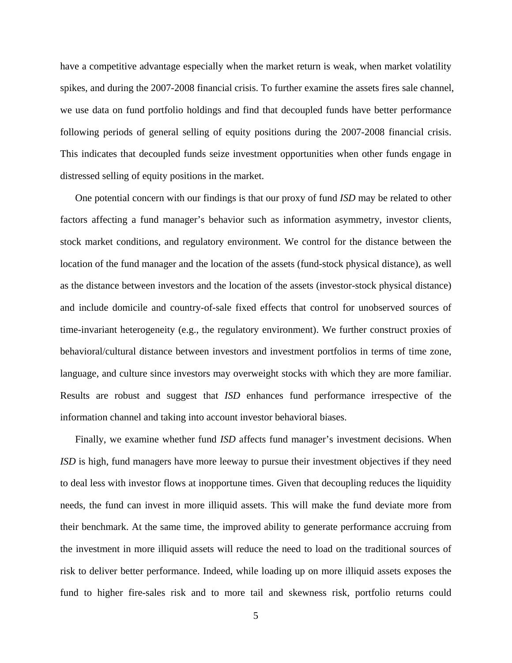have a competitive advantage especially when the market return is weak, when market volatility spikes, and during the 2007-2008 financial crisis. To further examine the assets fires sale channel, we use data on fund portfolio holdings and find that decoupled funds have better performance following periods of general selling of equity positions during the 2007-2008 financial crisis. This indicates that decoupled funds seize investment opportunities when other funds engage in distressed selling of equity positions in the market.

One potential concern with our findings is that our proxy of fund *ISD* may be related to other factors affecting a fund manager's behavior such as information asymmetry, investor clients, stock market conditions, and regulatory environment. We control for the distance between the location of the fund manager and the location of the assets (fund-stock physical distance), as well as the distance between investors and the location of the assets (investor-stock physical distance) and include domicile and country-of-sale fixed effects that control for unobserved sources of time-invariant heterogeneity (e.g., the regulatory environment). We further construct proxies of behavioral/cultural distance between investors and investment portfolios in terms of time zone, language, and culture since investors may overweight stocks with which they are more familiar. Results are robust and suggest that *ISD* enhances fund performance irrespective of the information channel and taking into account investor behavioral biases.

Finally, we examine whether fund *ISD* affects fund manager's investment decisions. When *ISD* is high, fund managers have more leeway to pursue their investment objectives if they need to deal less with investor flows at inopportune times. Given that decoupling reduces the liquidity needs, the fund can invest in more illiquid assets. This will make the fund deviate more from their benchmark. At the same time, the improved ability to generate performance accruing from the investment in more illiquid assets will reduce the need to load on the traditional sources of risk to deliver better performance. Indeed, while loading up on more illiquid assets exposes the fund to higher fire-sales risk and to more tail and skewness risk, portfolio returns could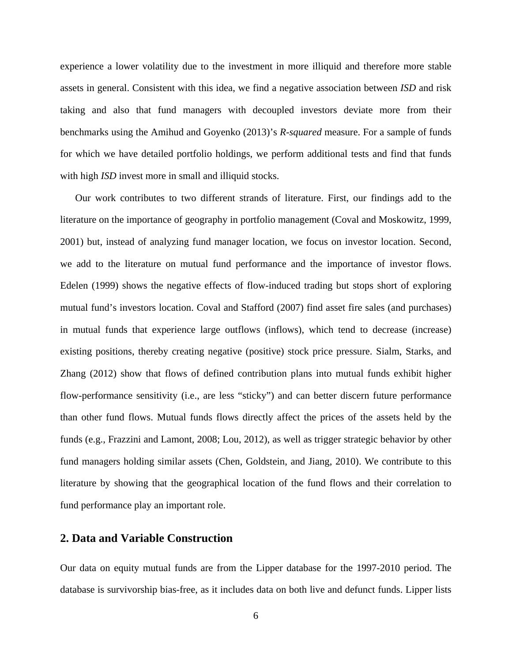experience a lower volatility due to the investment in more illiquid and therefore more stable assets in general. Consistent with this idea, we find a negative association between *ISD* and risk taking and also that fund managers with decoupled investors deviate more from their benchmarks using the Amihud and Goyenko (2013)'s *R-squared* measure. For a sample of funds for which we have detailed portfolio holdings, we perform additional tests and find that funds with high *ISD* invest more in small and illiquid stocks.

Our work contributes to two different strands of literature. First, our findings add to the literature on the importance of geography in portfolio management (Coval and Moskowitz, 1999, 2001) but, instead of analyzing fund manager location, we focus on investor location. Second, we add to the literature on mutual fund performance and the importance of investor flows. Edelen (1999) shows the negative effects of flow-induced trading but stops short of exploring mutual fund's investors location. Coval and Stafford (2007) find asset fire sales (and purchases) in mutual funds that experience large outflows (inflows), which tend to decrease (increase) existing positions, thereby creating negative (positive) stock price pressure. Sialm, Starks, and Zhang (2012) show that flows of defined contribution plans into mutual funds exhibit higher flow-performance sensitivity (i.e., are less "sticky") and can better discern future performance than other fund flows. Mutual funds flows directly affect the prices of the assets held by the funds (e.g., Frazzini and Lamont, 2008; Lou, 2012), as well as trigger strategic behavior by other fund managers holding similar assets (Chen, Goldstein, and Jiang, 2010). We contribute to this literature by showing that the geographical location of the fund flows and their correlation to fund performance play an important role.

#### **2. Data and Variable Construction**

Our data on equity mutual funds are from the Lipper database for the 1997-2010 period. The database is survivorship bias-free, as it includes data on both live and defunct funds. Lipper lists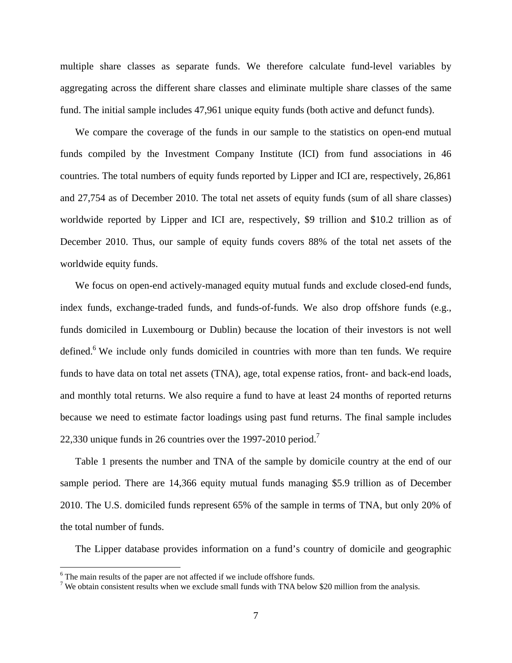multiple share classes as separate funds. We therefore calculate fund-level variables by aggregating across the different share classes and eliminate multiple share classes of the same fund. The initial sample includes 47,961 unique equity funds (both active and defunct funds).

We compare the coverage of the funds in our sample to the statistics on open-end mutual funds compiled by the Investment Company Institute (ICI) from fund associations in 46 countries. The total numbers of equity funds reported by Lipper and ICI are, respectively, 26,861 and 27,754 as of December 2010. The total net assets of equity funds (sum of all share classes) worldwide reported by Lipper and ICI are, respectively, \$9 trillion and \$10.2 trillion as of December 2010. Thus, our sample of equity funds covers 88% of the total net assets of the worldwide equity funds.

We focus on open-end actively-managed equity mutual funds and exclude closed-end funds, index funds, exchange-traded funds, and funds-of-funds. We also drop offshore funds (e.g., funds domiciled in Luxembourg or Dublin) because the location of their investors is not well defined.<sup>6</sup> We include only funds domiciled in countries with more than ten funds. We require funds to have data on total net assets (TNA), age, total expense ratios, front- and back-end loads, and monthly total returns. We also require a fund to have at least 24 months of reported returns because we need to estimate factor loadings using past fund returns. The final sample includes 22,330 unique funds in 26 countries over the 1997-2010 period.<sup>7</sup>

Table 1 presents the number and TNA of the sample by domicile country at the end of our sample period. There are 14,366 equity mutual funds managing \$5.9 trillion as of December 2010. The U.S. domiciled funds represent 65% of the sample in terms of TNA, but only 20% of the total number of funds.

The Lipper database provides information on a fund's country of domicile and geographic

 $\overline{a}$ 

 $^6$  The main results of the paper are not affected if we include offshore funds.<br> $^7$  We obtain consistent results when we exclude small funds with TNA below.

<sup>&</sup>lt;sup>7</sup> We obtain consistent results when we exclude small funds with TNA below \$20 million from the analysis.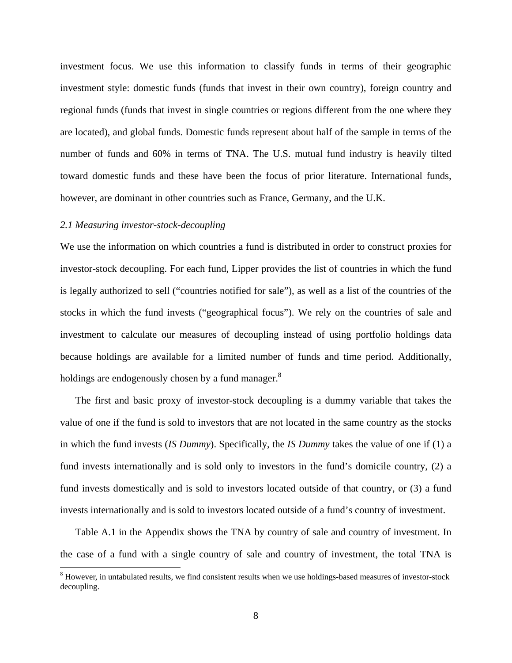investment focus. We use this information to classify funds in terms of their geographic investment style: domestic funds (funds that invest in their own country), foreign country and regional funds (funds that invest in single countries or regions different from the one where they are located), and global funds. Domestic funds represent about half of the sample in terms of the number of funds and 60% in terms of TNA. The U.S. mutual fund industry is heavily tilted toward domestic funds and these have been the focus of prior literature. International funds, however, are dominant in other countries such as France, Germany, and the U.K.

#### *2.1 Measuring investor-stock-decoupling*

 $\overline{a}$ 

We use the information on which countries a fund is distributed in order to construct proxies for investor-stock decoupling. For each fund, Lipper provides the list of countries in which the fund is legally authorized to sell ("countries notified for sale"), as well as a list of the countries of the stocks in which the fund invests ("geographical focus"). We rely on the countries of sale and investment to calculate our measures of decoupling instead of using portfolio holdings data because holdings are available for a limited number of funds and time period. Additionally, holdings are endogenously chosen by a fund manager. $8$ 

The first and basic proxy of investor-stock decoupling is a dummy variable that takes the value of one if the fund is sold to investors that are not located in the same country as the stocks in which the fund invests (*IS Dummy*). Specifically, the *IS Dummy* takes the value of one if (1) a fund invests internationally and is sold only to investors in the fund's domicile country, (2) a fund invests domestically and is sold to investors located outside of that country, or (3) a fund invests internationally and is sold to investors located outside of a fund's country of investment.

Table A.1 in the Appendix shows the TNA by country of sale and country of investment. In the case of a fund with a single country of sale and country of investment, the total TNA is

<sup>&</sup>lt;sup>8</sup> However, in untabulated results, we find consistent results when we use holdings-based measures of investor-stock decoupling.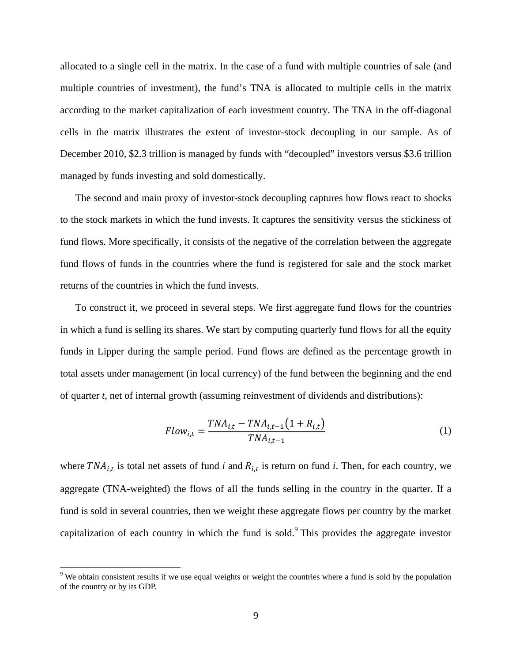allocated to a single cell in the matrix. In the case of a fund with multiple countries of sale (and multiple countries of investment), the fund's TNA is allocated to multiple cells in the matrix according to the market capitalization of each investment country. The TNA in the off-diagonal cells in the matrix illustrates the extent of investor-stock decoupling in our sample. As of December 2010, \$2.3 trillion is managed by funds with "decoupled" investors versus \$3.6 trillion managed by funds investing and sold domestically.

The second and main proxy of investor-stock decoupling captures how flows react to shocks to the stock markets in which the fund invests. It captures the sensitivity versus the stickiness of fund flows. More specifically, it consists of the negative of the correlation between the aggregate fund flows of funds in the countries where the fund is registered for sale and the stock market returns of the countries in which the fund invests.

To construct it, we proceed in several steps. We first aggregate fund flows for the countries in which a fund is selling its shares. We start by computing quarterly fund flows for all the equity funds in Lipper during the sample period. Fund flows are defined as the percentage growth in total assets under management (in local currency) of the fund between the beginning and the end of quarter *t*, net of internal growth (assuming reinvestment of dividends and distributions):

$$
Flow_{i,t} = \frac{TNA_{i,t} - TNA_{i,t-1}(1 + R_{i,t})}{TNA_{i,t-1}}
$$
(1)

where  $TNA_{i,t}$  is total net assets of fund *i* and  $R_{i,t}$  is return on fund *i*. Then, for each country, we aggregate (TNA-weighted) the flows of all the funds selling in the country in the quarter. If a fund is sold in several countries, then we weight these aggregate flows per country by the market capitalization of each country in which the fund is sold. This provides the aggregate investor

 $\overline{a}$ 

 $9$  We obtain consistent results if we use equal weights or weight the countries where a fund is sold by the population of the country or by its GDP.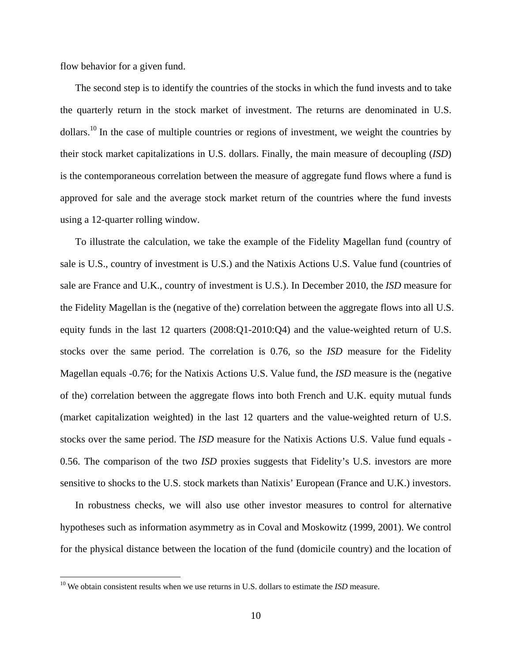flow behavior for a given fund.

The second step is to identify the countries of the stocks in which the fund invests and to take the quarterly return in the stock market of investment. The returns are denominated in U.S. dollars.<sup>10</sup> In the case of multiple countries or regions of investment, we weight the countries by their stock market capitalizations in U.S. dollars. Finally, the main measure of decoupling (*ISD*) is the contemporaneous correlation between the measure of aggregate fund flows where a fund is approved for sale and the average stock market return of the countries where the fund invests using a 12-quarter rolling window.

To illustrate the calculation, we take the example of the Fidelity Magellan fund (country of sale is U.S., country of investment is U.S.) and the Natixis Actions U.S. Value fund (countries of sale are France and U.K., country of investment is U.S.). In December 2010, the *ISD* measure for the Fidelity Magellan is the (negative of the) correlation between the aggregate flows into all U.S. equity funds in the last 12 quarters  $(2008:Q1-2010:Q4)$  and the value-weighted return of U.S. stocks over the same period. The correlation is 0.76, so the *ISD* measure for the Fidelity Magellan equals -0.76; for the Natixis Actions U.S. Value fund, the *ISD* measure is the (negative of the) correlation between the aggregate flows into both French and U.K. equity mutual funds (market capitalization weighted) in the last 12 quarters and the value-weighted return of U.S. stocks over the same period. The *ISD* measure for the Natixis Actions U.S. Value fund equals - 0.56. The comparison of the two *ISD* proxies suggests that Fidelity's U.S. investors are more sensitive to shocks to the U.S. stock markets than Natixis' European (France and U.K.) investors.

In robustness checks, we will also use other investor measures to control for alternative hypotheses such as information asymmetry as in Coval and Moskowitz (1999, 2001). We control for the physical distance between the location of the fund (domicile country) and the location of

 $\overline{a}$ 

<sup>&</sup>lt;sup>10</sup> We obtain consistent results when we use returns in U.S. dollars to estimate the *ISD* measure.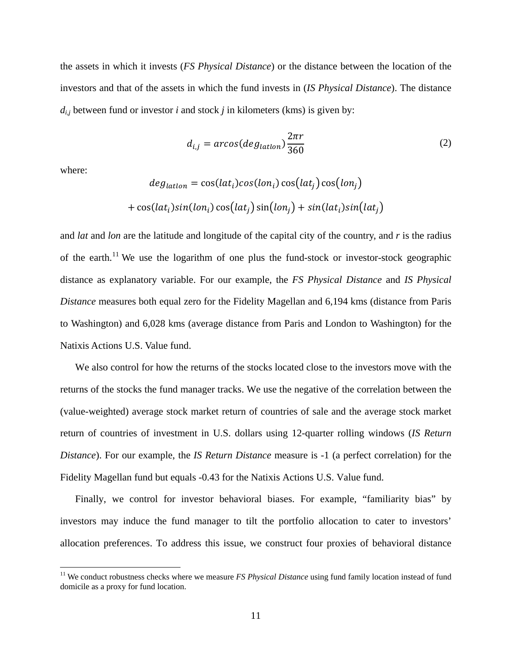the assets in which it invests (*FS Physical Distance*) or the distance between the location of the investors and that of the assets in which the fund invests in (*IS Physical Distance*). The distance  $d_{i,j}$  between fund or investor *i* and stock *j* in kilometers (kms) is given by:

$$
d_{i,j} = \arccos(\deg_{lational}) \frac{2\pi r}{360}
$$
 (2)

where:

1

$$
deg_{lation} = \cos(lat_i)\cos(lon_i)\cos(lat_j)\cos(lon_j)
$$

$$
+ \cos(lat_i)\sin(lon_i)\cos(lat_j)\sin(lon_j) + \sin(lat_i)\sin(lat_j)
$$

and *lat* and *lon* are the latitude and longitude of the capital city of the country, and *r* is the radius of the earth.<sup>11</sup> We use the logarithm of one plus the fund-stock or investor-stock geographic distance as explanatory variable. For our example, the *FS Physical Distance* and *IS Physical Distance* measures both equal zero for the Fidelity Magellan and 6,194 kms (distance from Paris to Washington) and 6,028 kms (average distance from Paris and London to Washington) for the Natixis Actions U.S. Value fund.

We also control for how the returns of the stocks located close to the investors move with the returns of the stocks the fund manager tracks. We use the negative of the correlation between the (value-weighted) average stock market return of countries of sale and the average stock market return of countries of investment in U.S. dollars using 12-quarter rolling windows (*IS Return Distance*). For our example, the *IS Return Distance* measure is -1 (a perfect correlation) for the Fidelity Magellan fund but equals -0.43 for the Natixis Actions U.S. Value fund.

Finally, we control for investor behavioral biases. For example, "familiarity bias" by investors may induce the fund manager to tilt the portfolio allocation to cater to investors' allocation preferences. To address this issue, we construct four proxies of behavioral distance

<sup>&</sup>lt;sup>11</sup> We conduct robustness checks where we measure *FS Physical Distance* using fund family location instead of fund domicile as a proxy for fund location.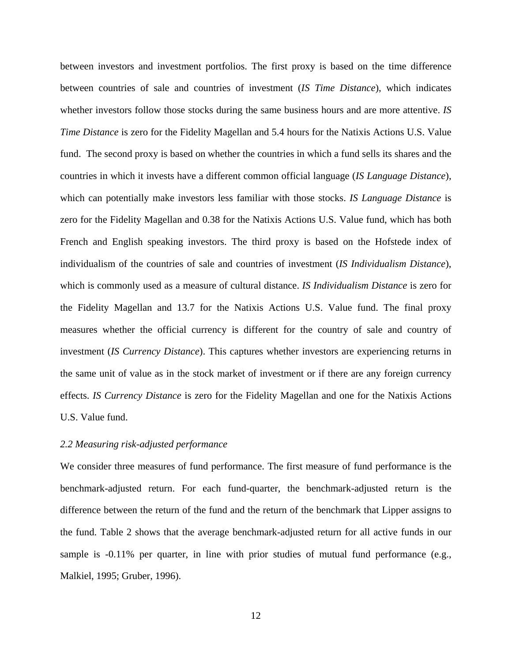between investors and investment portfolios. The first proxy is based on the time difference between countries of sale and countries of investment (*IS Time Distance*), which indicates whether investors follow those stocks during the same business hours and are more attentive. *IS Time Distance* is zero for the Fidelity Magellan and 5.4 hours for the Natixis Actions U.S. Value fund. The second proxy is based on whether the countries in which a fund sells its shares and the countries in which it invests have a different common official language (*IS Language Distance*), which can potentially make investors less familiar with those stocks. *IS Language Distance* is zero for the Fidelity Magellan and 0.38 for the Natixis Actions U.S. Value fund, which has both French and English speaking investors. The third proxy is based on the Hofstede index of individualism of the countries of sale and countries of investment (*IS Individualism Distance*), which is commonly used as a measure of cultural distance. *IS Individualism Distance* is zero for the Fidelity Magellan and 13.7 for the Natixis Actions U.S. Value fund. The final proxy measures whether the official currency is different for the country of sale and country of investment (*IS Currency Distance*). This captures whether investors are experiencing returns in the same unit of value as in the stock market of investment or if there are any foreign currency effects. *IS Currency Distance* is zero for the Fidelity Magellan and one for the Natixis Actions U.S. Value fund.

#### *2.2 Measuring risk-adjusted performance*

We consider three measures of fund performance. The first measure of fund performance is the benchmark-adjusted return. For each fund-quarter, the benchmark-adjusted return is the difference between the return of the fund and the return of the benchmark that Lipper assigns to the fund. Table 2 shows that the average benchmark-adjusted return for all active funds in our sample is  $-0.11\%$  per quarter, in line with prior studies of mutual fund performance (e.g., Malkiel, 1995; Gruber, 1996).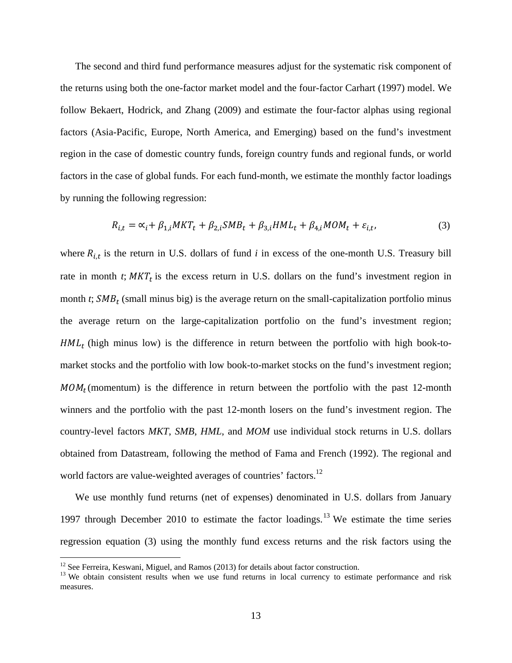The second and third fund performance measures adjust for the systematic risk component of the returns using both the one-factor market model and the four-factor Carhart (1997) model. We follow Bekaert, Hodrick, and Zhang (2009) and estimate the four-factor alphas using regional factors (Asia-Pacific, Europe, North America, and Emerging) based on the fund's investment region in the case of domestic country funds, foreign country funds and regional funds, or world factors in the case of global funds. For each fund-month, we estimate the monthly factor loadings by running the following regression:

$$
R_{i,t} = \alpha_i + \beta_{1,i} MKT_t + \beta_{2,i} SMB_t + \beta_{3,i} HML_t + \beta_{4,i} MOM_t + \varepsilon_{i,t},
$$
\n(3)

where  $R_{i,t}$  is the return in U.S. dollars of fund *i* in excess of the one-month U.S. Treasury bill rate in month  $t$ ;  $MKT_t$  is the excess return in U.S. dollars on the fund's investment region in month  $t$ ;  $SMB_t$  (small minus big) is the average return on the small-capitalization portfolio minus the average return on the large-capitalization portfolio on the fund's investment region;  $HML_t$  (high minus low) is the difference in return between the portfolio with high book-tomarket stocks and the portfolio with low book-to-market stocks on the fund's investment region;  $MOM_t$ (momentum) is the difference in return between the portfolio with the past 12-month winners and the portfolio with the past 12-month losers on the fund's investment region. The country-level factors *MKT*, *SMB*, *HML*, and *MOM* use individual stock returns in U.S. dollars obtained from Datastream, following the method of Fama and French (1992). The regional and world factors are value-weighted averages of countries' factors.<sup>12</sup>

We use monthly fund returns (net of expenses) denominated in U.S. dollars from January 1997 through December 2010 to estimate the factor loadings.<sup>13</sup> We estimate the time series regression equation (3) using the monthly fund excess returns and the risk factors using the

 $\overline{a}$ 

<sup>&</sup>lt;sup>12</sup> See Ferreira, Keswani, Miguel, and Ramos (2013) for details about factor construction.<br><sup>13</sup> We obtain consistent results when we use fund returns in local currency to estimate performance and risk measures.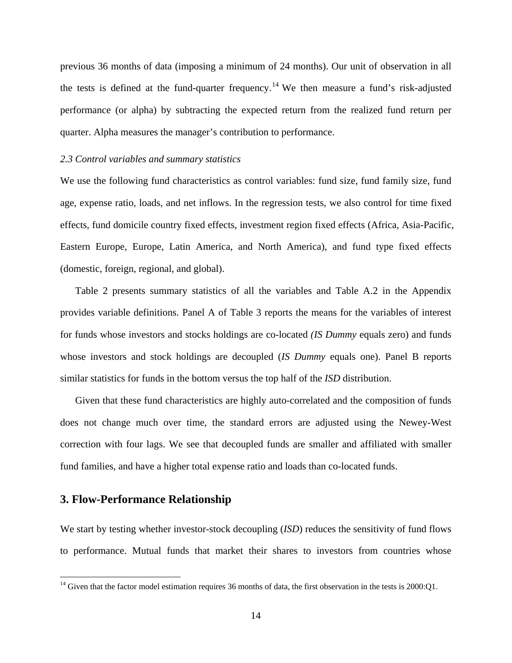previous 36 months of data (imposing a minimum of 24 months). Our unit of observation in all the tests is defined at the fund-quarter frequency.<sup>14</sup> We then measure a fund's risk-adjusted performance (or alpha) by subtracting the expected return from the realized fund return per quarter. Alpha measures the manager's contribution to performance.

#### *2.3 Control variables and summary statistics*

We use the following fund characteristics as control variables: fund size, fund family size, fund age, expense ratio, loads, and net inflows. In the regression tests, we also control for time fixed effects, fund domicile country fixed effects, investment region fixed effects (Africa, Asia-Pacific, Eastern Europe, Europe, Latin America, and North America), and fund type fixed effects (domestic, foreign, regional, and global).

Table 2 presents summary statistics of all the variables and Table A.2 in the Appendix provides variable definitions. Panel A of Table 3 reports the means for the variables of interest for funds whose investors and stocks holdings are co-located *(IS Dummy* equals zero) and funds whose investors and stock holdings are decoupled (*IS Dummy* equals one). Panel B reports similar statistics for funds in the bottom versus the top half of the *ISD* distribution.

Given that these fund characteristics are highly auto-correlated and the composition of funds does not change much over time, the standard errors are adjusted using the Newey-West correction with four lags. We see that decoupled funds are smaller and affiliated with smaller fund families, and have a higher total expense ratio and loads than co-located funds.

#### **3. Flow-Performance Relationship**

1

We start by testing whether investor-stock decoupling *(ISD)* reduces the sensitivity of fund flows to performance. Mutual funds that market their shares to investors from countries whose

<sup>&</sup>lt;sup>14</sup> Given that the factor model estimation requires 36 months of data, the first observation in the tests is  $2000:Q1$ .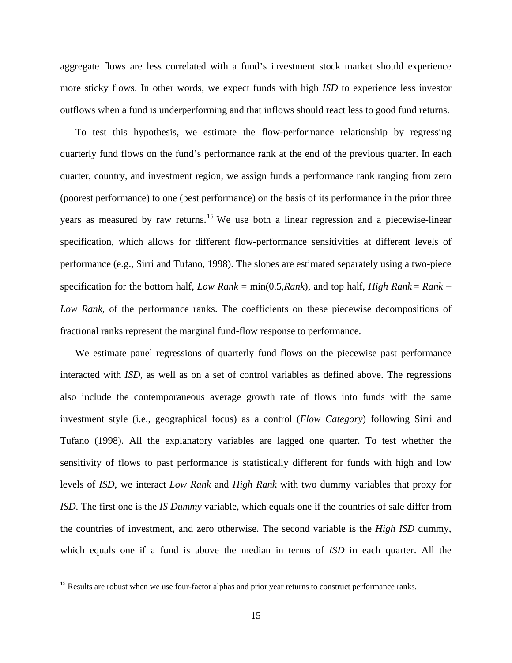aggregate flows are less correlated with a fund's investment stock market should experience more sticky flows. In other words, we expect funds with high *ISD* to experience less investor outflows when a fund is underperforming and that inflows should react less to good fund returns.

To test this hypothesis, we estimate the flow-performance relationship by regressing quarterly fund flows on the fund's performance rank at the end of the previous quarter. In each quarter, country, and investment region, we assign funds a performance rank ranging from zero (poorest performance) to one (best performance) on the basis of its performance in the prior three years as measured by raw returns.<sup>15</sup> We use both a linear regression and a piecewise-linear specification, which allows for different flow-performance sensitivities at different levels of performance (e.g., Sirri and Tufano, 1998). The slopes are estimated separately using a two-piece specification for the bottom half, *Low Rank* = min(0.5,*Rank*), and top half, *High Rank* = *Rank Low Rank*, of the performance ranks. The coefficients on these piecewise decompositions of fractional ranks represent the marginal fund-flow response to performance.

We estimate panel regressions of quarterly fund flows on the piecewise past performance interacted with *ISD*, as well as on a set of control variables as defined above. The regressions also include the contemporaneous average growth rate of flows into funds with the same investment style (i.e., geographical focus) as a control (*Flow Category*) following Sirri and Tufano (1998). All the explanatory variables are lagged one quarter. To test whether the sensitivity of flows to past performance is statistically different for funds with high and low levels of *ISD*, we interact *Low Rank* and *High Rank* with two dummy variables that proxy for *ISD*. The first one is the *IS Dummy* variable, which equals one if the countries of sale differ from the countries of investment, and zero otherwise. The second variable is the *High ISD* dummy, which equals one if a fund is above the median in terms of *ISD* in each quarter. All the

 $\overline{a}$ 

<sup>&</sup>lt;sup>15</sup> Results are robust when we use four-factor alphas and prior year returns to construct performance ranks.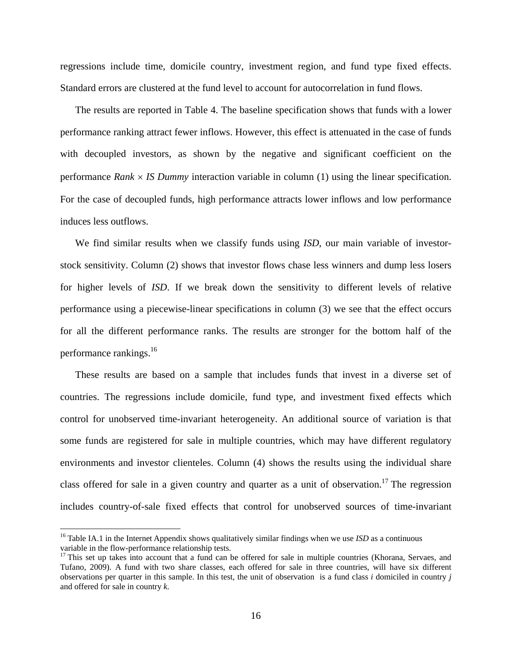regressions include time, domicile country, investment region, and fund type fixed effects. Standard errors are clustered at the fund level to account for autocorrelation in fund flows.

The results are reported in Table 4. The baseline specification shows that funds with a lower performance ranking attract fewer inflows. However, this effect is attenuated in the case of funds with decoupled investors, as shown by the negative and significant coefficient on the performance *Rank*  $\times$  *IS Dummy* interaction variable in column (1) using the linear specification. For the case of decoupled funds, high performance attracts lower inflows and low performance induces less outflows.

We find similar results when we classify funds using *ISD*, our main variable of investorstock sensitivity. Column (2) shows that investor flows chase less winners and dump less losers for higher levels of *ISD*. If we break down the sensitivity to different levels of relative performance using a piecewise-linear specifications in column (3) we see that the effect occurs for all the different performance ranks. The results are stronger for the bottom half of the performance rankings. $^{16}$ 

These results are based on a sample that includes funds that invest in a diverse set of countries. The regressions include domicile, fund type, and investment fixed effects which control for unobserved time-invariant heterogeneity. An additional source of variation is that some funds are registered for sale in multiple countries, which may have different regulatory environments and investor clienteles. Column (4) shows the results using the individual share class offered for sale in a given country and quarter as a unit of observation.<sup>17</sup> The regression includes country-of-sale fixed effects that control for unobserved sources of time-invariant

<u>.</u>

<sup>&</sup>lt;sup>16</sup> Table IA.1 in the Internet Appendix shows qualitatively similar findings when we use *ISD* as a continuous variable in the flow-performance relationship tests.

<sup>&</sup>lt;sup>17</sup> This set up takes into account that a fund can be offered for sale in multiple countries (Khorana, Servaes, and Tufano, 2009). A fund with two share classes, each offered for sale in three countries, will have six different observations per quarter in this sample. In this test, the unit of observation is a fund class *i* domiciled in country *j* and offered for sale in country *k*.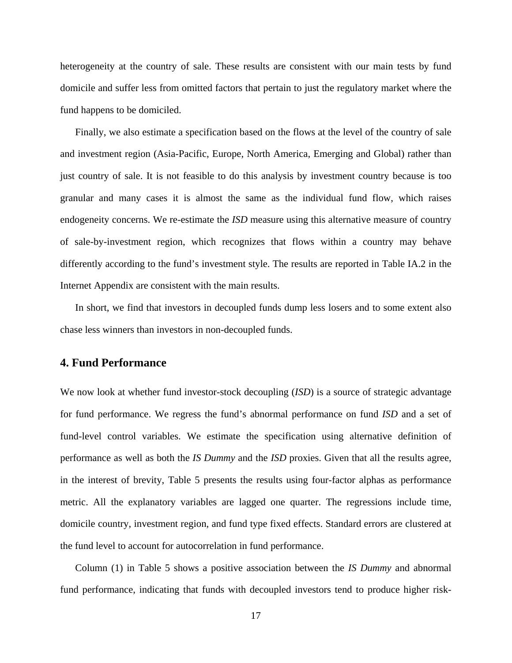heterogeneity at the country of sale. These results are consistent with our main tests by fund domicile and suffer less from omitted factors that pertain to just the regulatory market where the fund happens to be domiciled.

Finally, we also estimate a specification based on the flows at the level of the country of sale and investment region (Asia-Pacific, Europe, North America, Emerging and Global) rather than just country of sale. It is not feasible to do this analysis by investment country because is too granular and many cases it is almost the same as the individual fund flow, which raises endogeneity concerns. We re-estimate the *ISD* measure using this alternative measure of country of sale-by-investment region, which recognizes that flows within a country may behave differently according to the fund's investment style. The results are reported in Table IA.2 in the Internet Appendix are consistent with the main results.

In short, we find that investors in decoupled funds dump less losers and to some extent also chase less winners than investors in non-decoupled funds.

#### **4. Fund Performance**

We now look at whether fund investor-stock decoupling *(ISD)* is a source of strategic advantage for fund performance. We regress the fund's abnormal performance on fund *ISD* and a set of fund-level control variables. We estimate the specification using alternative definition of performance as well as both the *IS Dummy* and the *ISD* proxies. Given that all the results agree, in the interest of brevity, Table 5 presents the results using four-factor alphas as performance metric. All the explanatory variables are lagged one quarter. The regressions include time, domicile country, investment region, and fund type fixed effects. Standard errors are clustered at the fund level to account for autocorrelation in fund performance.

Column (1) in Table 5 shows a positive association between the *IS Dummy* and abnormal fund performance, indicating that funds with decoupled investors tend to produce higher risk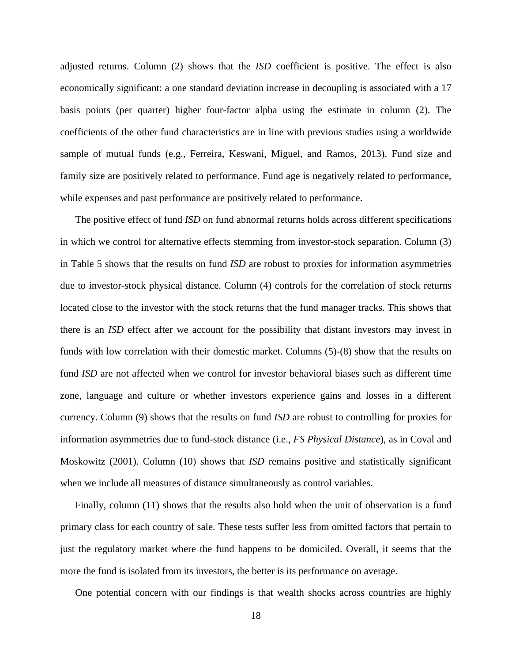adjusted returns. Column (2) shows that the *ISD* coefficient is positive. The effect is also economically significant: a one standard deviation increase in decoupling is associated with a 17 basis points (per quarter) higher four-factor alpha using the estimate in column (2). The coefficients of the other fund characteristics are in line with previous studies using a worldwide sample of mutual funds (e.g., Ferreira, Keswani, Miguel, and Ramos, 2013). Fund size and family size are positively related to performance. Fund age is negatively related to performance, while expenses and past performance are positively related to performance.

The positive effect of fund *ISD* on fund abnormal returns holds across different specifications in which we control for alternative effects stemming from investor-stock separation. Column (3) in Table 5 shows that the results on fund *ISD* are robust to proxies for information asymmetries due to investor-stock physical distance. Column (4) controls for the correlation of stock returns located close to the investor with the stock returns that the fund manager tracks. This shows that there is an *ISD* effect after we account for the possibility that distant investors may invest in funds with low correlation with their domestic market. Columns (5)-(8) show that the results on fund *ISD* are not affected when we control for investor behavioral biases such as different time zone, language and culture or whether investors experience gains and losses in a different currency. Column (9) shows that the results on fund *ISD* are robust to controlling for proxies for information asymmetries due to fund-stock distance (i.e., *FS Physical Distance*), as in Coval and Moskowitz (2001). Column (10) shows that *ISD* remains positive and statistically significant when we include all measures of distance simultaneously as control variables.

Finally, column (11) shows that the results also hold when the unit of observation is a fund primary class for each country of sale. These tests suffer less from omitted factors that pertain to just the regulatory market where the fund happens to be domiciled. Overall, it seems that the more the fund is isolated from its investors, the better is its performance on average.

One potential concern with our findings is that wealth shocks across countries are highly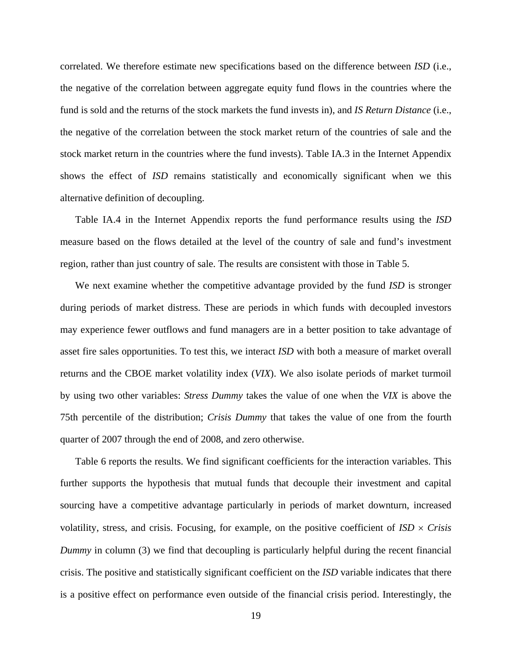correlated. We therefore estimate new specifications based on the difference between *ISD* (i.e., the negative of the correlation between aggregate equity fund flows in the countries where the fund is sold and the returns of the stock markets the fund invests in), and *IS Return Distance* (i.e., the negative of the correlation between the stock market return of the countries of sale and the stock market return in the countries where the fund invests). Table IA.3 in the Internet Appendix shows the effect of *ISD* remains statistically and economically significant when we this alternative definition of decoupling.

Table IA.4 in the Internet Appendix reports the fund performance results using the *ISD* measure based on the flows detailed at the level of the country of sale and fund's investment region, rather than just country of sale. The results are consistent with those in Table 5.

We next examine whether the competitive advantage provided by the fund *ISD* is stronger during periods of market distress. These are periods in which funds with decoupled investors may experience fewer outflows and fund managers are in a better position to take advantage of asset fire sales opportunities. To test this, we interact *ISD* with both a measure of market overall returns and the CBOE market volatility index (*VIX*). We also isolate periods of market turmoil by using two other variables: *Stress Dummy* takes the value of one when the *VIX* is above the 75th percentile of the distribution; *Crisis Dummy* that takes the value of one from the fourth quarter of 2007 through the end of 2008, and zero otherwise.

Table 6 reports the results. We find significant coefficients for the interaction variables. This further supports the hypothesis that mutual funds that decouple their investment and capital sourcing have a competitive advantage particularly in periods of market downturn, increased volatility, stress, and crisis. Focusing, for example, on the positive coefficient of  $\text{ISD} \times \text{Crisis}$ *Dummy* in column (3) we find that decoupling is particularly helpful during the recent financial crisis. The positive and statistically significant coefficient on the *ISD* variable indicates that there is a positive effect on performance even outside of the financial crisis period. Interestingly, the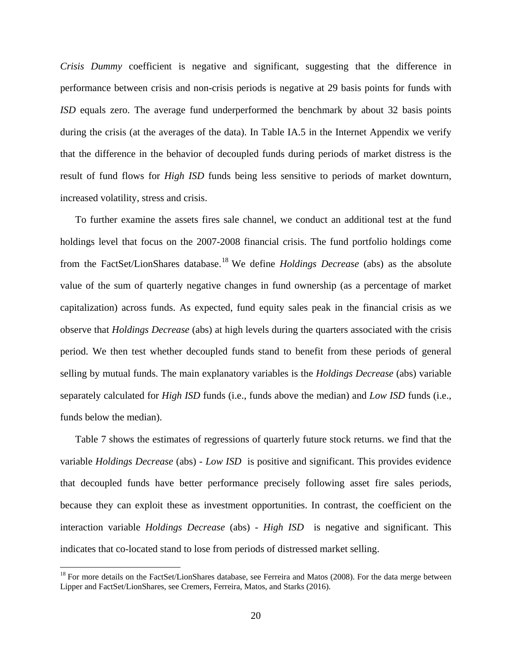*Crisis Dummy* coefficient is negative and significant, suggesting that the difference in performance between crisis and non-crisis periods is negative at 29 basis points for funds with *ISD* equals zero. The average fund underperformed the benchmark by about 32 basis points during the crisis (at the averages of the data). In Table IA.5 in the Internet Appendix we verify that the difference in the behavior of decoupled funds during periods of market distress is the result of fund flows for *High ISD* funds being less sensitive to periods of market downturn, increased volatility, stress and crisis.

To further examine the assets fires sale channel, we conduct an additional test at the fund holdings level that focus on the 2007-2008 financial crisis. The fund portfolio holdings come from the FactSet/LionShares database.18 We define *Holdings Decrease* (abs) as the absolute value of the sum of quarterly negative changes in fund ownership (as a percentage of market capitalization) across funds. As expected, fund equity sales peak in the financial crisis as we observe that *Holdings Decrease* (abs) at high levels during the quarters associated with the crisis period. We then test whether decoupled funds stand to benefit from these periods of general selling by mutual funds. The main explanatory variables is the *Holdings Decrease* (abs) variable separately calculated for *High ISD* funds (i.e., funds above the median) and *Low ISD* funds (i.e., funds below the median).

Table 7 shows the estimates of regressions of quarterly future stock returns. we find that the variable *Holdings Decrease* (abs) - *Low ISD* is positive and significant. This provides evidence that decoupled funds have better performance precisely following asset fire sales periods, because they can exploit these as investment opportunities. In contrast, the coefficient on the interaction variable *Holdings Decrease* (abs) - *High ISD* is negative and significant. This indicates that co-located stand to lose from periods of distressed market selling.

1

<sup>&</sup>lt;sup>18</sup> For more details on the FactSet/LionShares database, see Ferreira and Matos (2008). For the data merge between Lipper and FactSet/LionShares, see Cremers, Ferreira, Matos, and Starks (2016).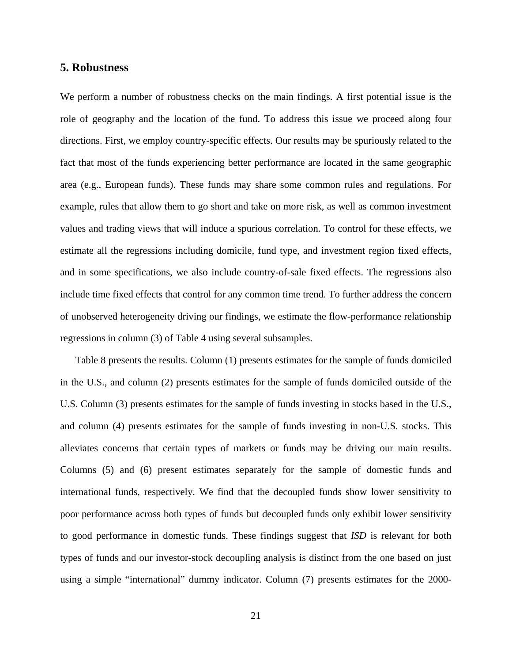#### **5. Robustness**

We perform a number of robustness checks on the main findings. A first potential issue is the role of geography and the location of the fund. To address this issue we proceed along four directions. First, we employ country-specific effects. Our results may be spuriously related to the fact that most of the funds experiencing better performance are located in the same geographic area (e.g., European funds). These funds may share some common rules and regulations. For example, rules that allow them to go short and take on more risk, as well as common investment values and trading views that will induce a spurious correlation. To control for these effects, we estimate all the regressions including domicile, fund type, and investment region fixed effects, and in some specifications, we also include country-of-sale fixed effects. The regressions also include time fixed effects that control for any common time trend. To further address the concern of unobserved heterogeneity driving our findings, we estimate the flow-performance relationship regressions in column (3) of Table 4 using several subsamples.

Table 8 presents the results. Column (1) presents estimates for the sample of funds domiciled in the U.S., and column (2) presents estimates for the sample of funds domiciled outside of the U.S. Column (3) presents estimates for the sample of funds investing in stocks based in the U.S., and column (4) presents estimates for the sample of funds investing in non-U.S. stocks. This alleviates concerns that certain types of markets or funds may be driving our main results. Columns (5) and (6) present estimates separately for the sample of domestic funds and international funds, respectively. We find that the decoupled funds show lower sensitivity to poor performance across both types of funds but decoupled funds only exhibit lower sensitivity to good performance in domestic funds. These findings suggest that *ISD* is relevant for both types of funds and our investor-stock decoupling analysis is distinct from the one based on just using a simple "international" dummy indicator. Column (7) presents estimates for the 2000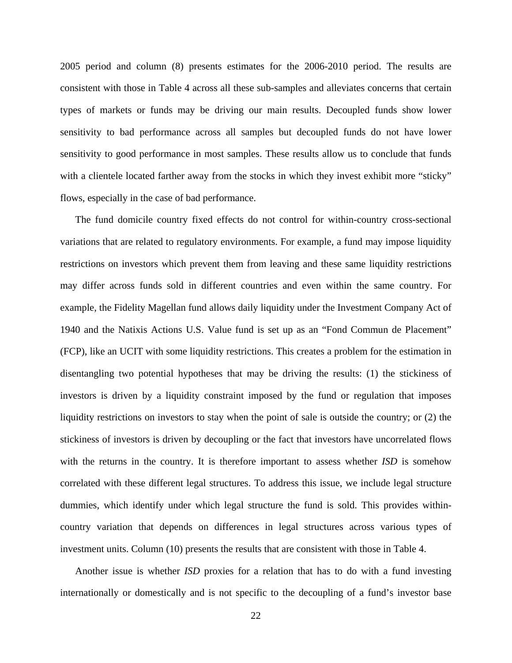2005 period and column (8) presents estimates for the 2006-2010 period. The results are consistent with those in Table 4 across all these sub-samples and alleviates concerns that certain types of markets or funds may be driving our main results. Decoupled funds show lower sensitivity to bad performance across all samples but decoupled funds do not have lower sensitivity to good performance in most samples. These results allow us to conclude that funds with a clientele located farther away from the stocks in which they invest exhibit more "sticky" flows, especially in the case of bad performance.

The fund domicile country fixed effects do not control for within-country cross-sectional variations that are related to regulatory environments. For example, a fund may impose liquidity restrictions on investors which prevent them from leaving and these same liquidity restrictions may differ across funds sold in different countries and even within the same country. For example, the Fidelity Magellan fund allows daily liquidity under the Investment Company Act of 1940 and the Natixis Actions U.S. Value fund is set up as an "Fond Commun de Placement" (FCP), like an UCIT with some liquidity restrictions. This creates a problem for the estimation in disentangling two potential hypotheses that may be driving the results: (1) the stickiness of investors is driven by a liquidity constraint imposed by the fund or regulation that imposes liquidity restrictions on investors to stay when the point of sale is outside the country; or (2) the stickiness of investors is driven by decoupling or the fact that investors have uncorrelated flows with the returns in the country. It is therefore important to assess whether *ISD* is somehow correlated with these different legal structures. To address this issue, we include legal structure dummies, which identify under which legal structure the fund is sold. This provides withincountry variation that depends on differences in legal structures across various types of investment units. Column (10) presents the results that are consistent with those in Table 4.

Another issue is whether *ISD* proxies for a relation that has to do with a fund investing internationally or domestically and is not specific to the decoupling of a fund's investor base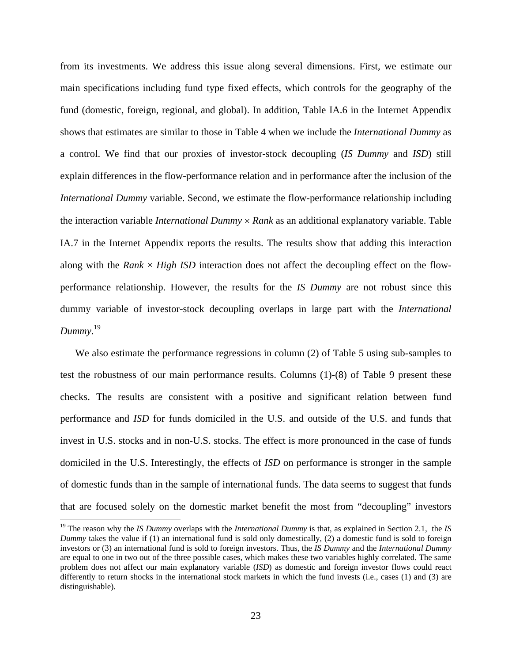from its investments. We address this issue along several dimensions. First, we estimate our main specifications including fund type fixed effects, which controls for the geography of the fund (domestic, foreign, regional, and global). In addition, Table IA.6 in the Internet Appendix shows that estimates are similar to those in Table 4 when we include the *International Dummy* as a control. We find that our proxies of investor-stock decoupling (*IS Dummy* and *ISD*) still explain differences in the flow-performance relation and in performance after the inclusion of the *International Dummy* variable. Second, we estimate the flow-performance relationship including the interaction variable *International Dummy Rank* as an additional explanatory variable. Table IA.7 in the Internet Appendix reports the results. The results show that adding this interaction along with the *Rank*  $\times$  *High ISD* interaction does not affect the decoupling effect on the flowperformance relationship. However, the results for the *IS Dummy* are not robust since this dummy variable of investor-stock decoupling overlaps in large part with the *International Dummy*. 19

We also estimate the performance regressions in column (2) of Table 5 using sub-samples to test the robustness of our main performance results. Columns (1)-(8) of Table 9 present these checks. The results are consistent with a positive and significant relation between fund performance and *ISD* for funds domiciled in the U.S. and outside of the U.S. and funds that invest in U.S. stocks and in non-U.S. stocks. The effect is more pronounced in the case of funds domiciled in the U.S. Interestingly, the effects of *ISD* on performance is stronger in the sample of domestic funds than in the sample of international funds. The data seems to suggest that funds that are focused solely on the domestic market benefit the most from "decoupling" investors

 $\overline{a}$ 

<sup>19</sup> The reason why the *IS Dummy* overlaps with the *International Dummy* is that, as explained in Section 2.1, the *IS Dummy* takes the value if (1) an international fund is sold only domestically, (2) a domestic fund is sold to foreign investors or (3) an international fund is sold to foreign investors. Thus, the *IS Dummy* and the *International Dummy* are equal to one in two out of the three possible cases, which makes these two variables highly correlated. The same problem does not affect our main explanatory variable (*ISD*) as domestic and foreign investor flows could react differently to return shocks in the international stock markets in which the fund invests (i.e., cases (1) and (3) are distinguishable).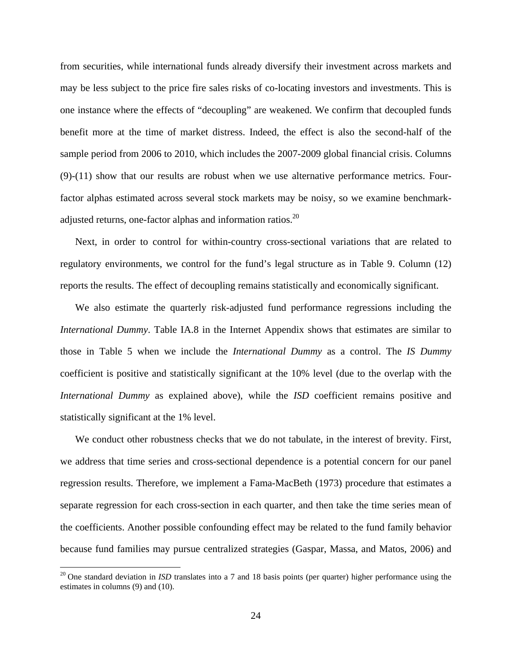from securities, while international funds already diversify their investment across markets and may be less subject to the price fire sales risks of co-locating investors and investments. This is one instance where the effects of "decoupling" are weakened. We confirm that decoupled funds benefit more at the time of market distress. Indeed, the effect is also the second-half of the sample period from 2006 to 2010, which includes the 2007-2009 global financial crisis. Columns (9)-(11) show that our results are robust when we use alternative performance metrics. Fourfactor alphas estimated across several stock markets may be noisy, so we examine benchmarkadjusted returns, one-factor alphas and information ratios.<sup>20</sup>

Next, in order to control for within-country cross-sectional variations that are related to regulatory environments, we control for the fund's legal structure as in Table 9. Column (12) reports the results. The effect of decoupling remains statistically and economically significant.

We also estimate the quarterly risk-adjusted fund performance regressions including the *International Dummy*. Table IA.8 in the Internet Appendix shows that estimates are similar to those in Table 5 when we include the *International Dummy* as a control. The *IS Dummy* coefficient is positive and statistically significant at the 10% level (due to the overlap with the *International Dummy* as explained above), while the *ISD* coefficient remains positive and statistically significant at the 1% level.

We conduct other robustness checks that we do not tabulate, in the interest of brevity. First, we address that time series and cross-sectional dependence is a potential concern for our panel regression results. Therefore, we implement a Fama-MacBeth (1973) procedure that estimates a separate regression for each cross-section in each quarter, and then take the time series mean of the coefficients. Another possible confounding effect may be related to the fund family behavior because fund families may pursue centralized strategies (Gaspar, Massa, and Matos, 2006) and

 $\overline{a}$ 

 $20$  One standard deviation in *ISD* translates into a 7 and 18 basis points (per quarter) higher performance using the estimates in columns (9) and (10).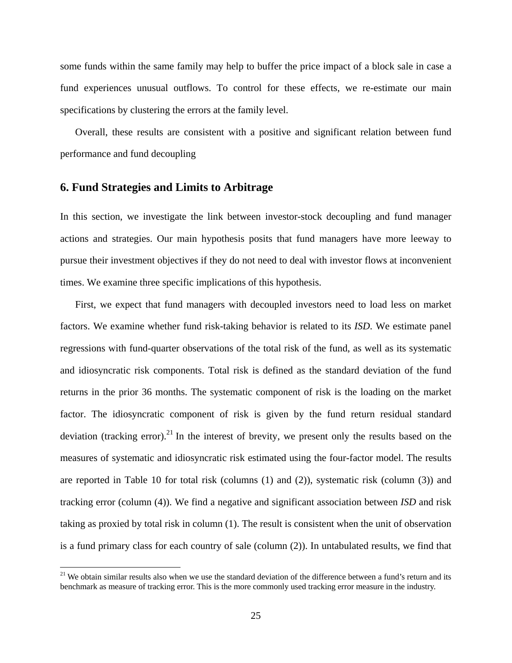some funds within the same family may help to buffer the price impact of a block sale in case a fund experiences unusual outflows. To control for these effects, we re-estimate our main specifications by clustering the errors at the family level.

Overall, these results are consistent with a positive and significant relation between fund performance and fund decoupling

#### **6. Fund Strategies and Limits to Arbitrage**

1

In this section, we investigate the link between investor-stock decoupling and fund manager actions and strategies. Our main hypothesis posits that fund managers have more leeway to pursue their investment objectives if they do not need to deal with investor flows at inconvenient times. We examine three specific implications of this hypothesis.

First, we expect that fund managers with decoupled investors need to load less on market factors. We examine whether fund risk-taking behavior is related to its *ISD*. We estimate panel regressions with fund-quarter observations of the total risk of the fund, as well as its systematic and idiosyncratic risk components. Total risk is defined as the standard deviation of the fund returns in the prior 36 months. The systematic component of risk is the loading on the market factor. The idiosyncratic component of risk is given by the fund return residual standard deviation (tracking error).<sup>21</sup> In the interest of brevity, we present only the results based on the measures of systematic and idiosyncratic risk estimated using the four-factor model. The results are reported in Table 10 for total risk (columns (1) and (2)), systematic risk (column (3)) and tracking error (column (4)). We find a negative and significant association between *ISD* and risk taking as proxied by total risk in column (1). The result is consistent when the unit of observation is a fund primary class for each country of sale (column (2)). In untabulated results, we find that

 $21$  We obtain similar results also when we use the standard deviation of the difference between a fund's return and its benchmark as measure of tracking error. This is the more commonly used tracking error measure in the industry.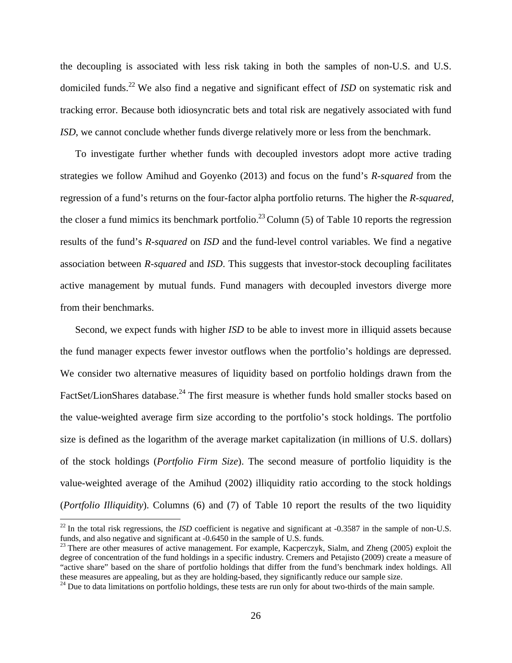the decoupling is associated with less risk taking in both the samples of non-U.S. and U.S. domiciled funds.<sup>22</sup> We also find a negative and significant effect of *ISD* on systematic risk and tracking error. Because both idiosyncratic bets and total risk are negatively associated with fund *ISD*, we cannot conclude whether funds diverge relatively more or less from the benchmark.

To investigate further whether funds with decoupled investors adopt more active trading strategies we follow Amihud and Goyenko (2013) and focus on the fund's *R-squared* from the regression of a fund's returns on the four-factor alpha portfolio returns. The higher the *R-squared*, the closer a fund mimics its benchmark portfolio.<sup>23</sup> Column (5) of Table 10 reports the regression results of the fund's *R-squared* on *ISD* and the fund-level control variables. We find a negative association between *R-squared* and *ISD*. This suggests that investor-stock decoupling facilitates active management by mutual funds. Fund managers with decoupled investors diverge more from their benchmarks.

Second, we expect funds with higher *ISD* to be able to invest more in illiquid assets because the fund manager expects fewer investor outflows when the portfolio's holdings are depressed. We consider two alternative measures of liquidity based on portfolio holdings drawn from the FactSet/LionShares database.<sup>24</sup> The first measure is whether funds hold smaller stocks based on the value-weighted average firm size according to the portfolio's stock holdings. The portfolio size is defined as the logarithm of the average market capitalization (in millions of U.S. dollars) of the stock holdings (*Portfolio Firm Size*). The second measure of portfolio liquidity is the value-weighted average of the Amihud (2002) illiquidity ratio according to the stock holdings (*Portfolio Illiquidity*). Columns (6) and (7) of Table 10 report the results of the two liquidity

 $\overline{a}$ 

 $^{22}$  In the total risk regressions, the *ISD* coefficient is negative and significant at  $-0.3587$  in the sample of non-U.S. funds, and also negative and significant at -0.6450 in the sample of U.S. funds.

<sup>&</sup>lt;sup>23</sup> There are other measures of active management. For example, Kacperczyk, Sialm, and Zheng (2005) exploit the degree of concentration of the fund holdings in a specific industry. Cremers and Petajisto (2009) create a measure of "active share" based on the share of portfolio holdings that differ from the fund's benchmark index holdings. All these measures are appealing, but as they are holding-based, they significantly reduce our sample size. <sup>24</sup> Due to data limitations on portfolio holdings, these tests are run only for about two-thirds of the main sample.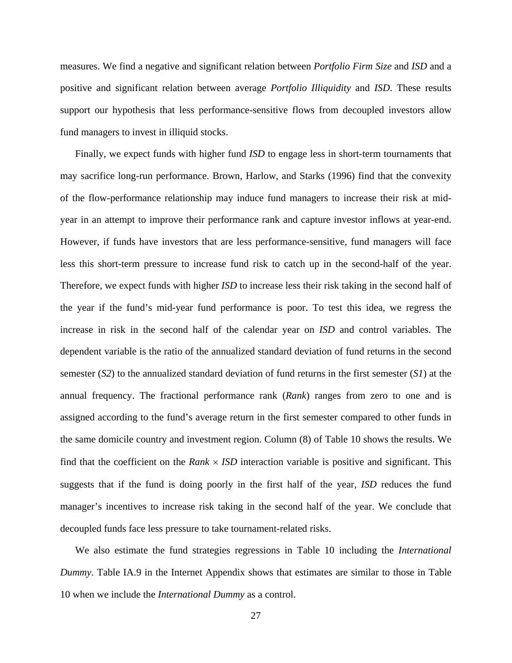measures. We find a negative and significant relation between *Portfolio Firm Size* and *ISD* and a positive and significant relation between average *Portfolio Illiquidity* and *ISD*. These results support our hypothesis that less performance-sensitive flows from decoupled investors allow fund managers to invest in illiquid stocks.

Finally, we expect funds with higher fund *ISD* to engage less in short-term tournaments that may sacrifice long-run performance. Brown, Harlow, and Starks (1996) find that the convexity of the flow-performance relationship may induce fund managers to increase their risk at midyear in an attempt to improve their performance rank and capture investor inflows at year-end. However, if funds have investors that are less performance-sensitive, fund managers will face less this short-term pressure to increase fund risk to catch up in the second-half of the year. Therefore, we expect funds with higher *ISD* to increase less their risk taking in the second half of the year if the fund's mid-year fund performance is poor. To test this idea, we regress the increase in risk in the second half of the calendar year on *ISD* and control variables. The dependent variable is the ratio of the annualized standard deviation of fund returns in the second semester (*S2*) to the annualized standard deviation of fund returns in the first semester (*S1*) at the annual frequency. The fractional performance rank (*Rank*) ranges from zero to one and is assigned according to the fund's average return in the first semester compared to other funds in the same domicile country and investment region. Column (8) of Table 10 shows the results. We find that the coefficient on the *Rank*  $\times$  *ISD* interaction variable is positive and significant. This suggests that if the fund is doing poorly in the first half of the year, *ISD* reduces the fund manager's incentives to increase risk taking in the second half of the year. We conclude that decoupled funds face less pressure to take tournament-related risks.

We also estimate the fund strategies regressions in Table 10 including the *International Dummy*. Table IA.9 in the Internet Appendix shows that estimates are similar to those in Table 10 when we include the *International Dummy* as a control.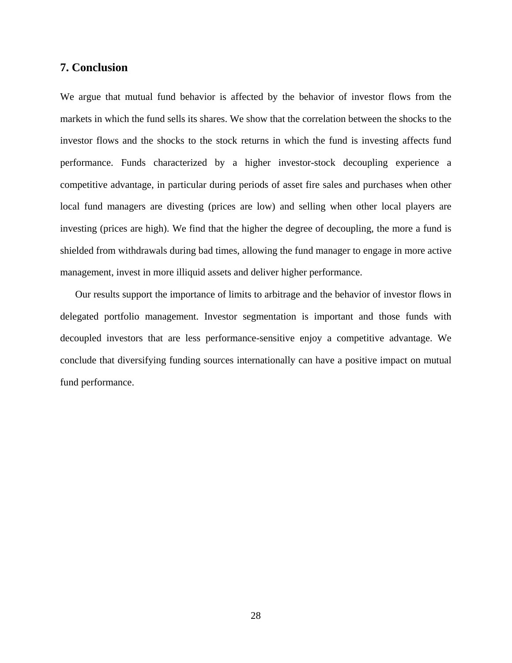#### **7. Conclusion**

We argue that mutual fund behavior is affected by the behavior of investor flows from the markets in which the fund sells its shares. We show that the correlation between the shocks to the investor flows and the shocks to the stock returns in which the fund is investing affects fund performance. Funds characterized by a higher investor-stock decoupling experience a competitive advantage, in particular during periods of asset fire sales and purchases when other local fund managers are divesting (prices are low) and selling when other local players are investing (prices are high). We find that the higher the degree of decoupling, the more a fund is shielded from withdrawals during bad times, allowing the fund manager to engage in more active management, invest in more illiquid assets and deliver higher performance.

Our results support the importance of limits to arbitrage and the behavior of investor flows in delegated portfolio management. Investor segmentation is important and those funds with decoupled investors that are less performance-sensitive enjoy a competitive advantage. We conclude that diversifying funding sources internationally can have a positive impact on mutual fund performance.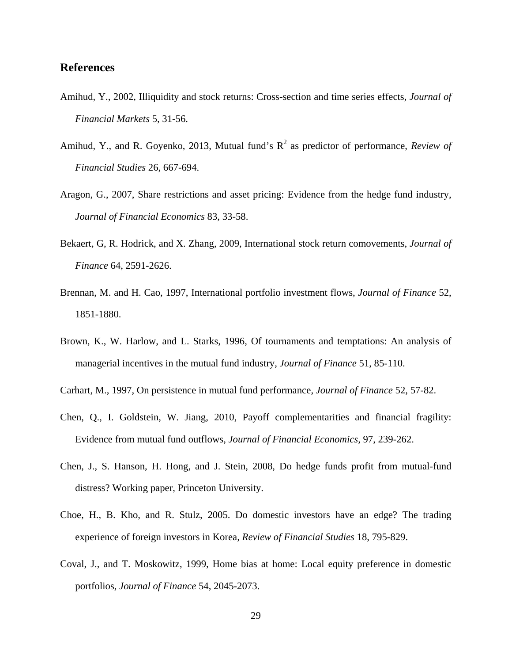#### **References**

- Amihud, Y., 2002, Illiquidity and stock returns: Cross-section and time series effects, *Journal of Financial Markets* 5, 31-56.
- Amihud, Y., and R. Goyenko, 2013, Mutual fund's  $R^2$  as predictor of performance, *Review of Financial Studies* 26, 667-694.
- Aragon, G., 2007, Share restrictions and asset pricing: Evidence from the hedge fund industry, *Journal of Financial Economics* 83, 33-58.
- Bekaert, G, R. Hodrick, and X. Zhang, 2009, International stock return comovements, *Journal of Finance* 64, 2591-2626.
- Brennan, M. and H. Cao, 1997, International portfolio investment flows, *Journal of Finance* 52, 1851-1880.
- Brown, K., W. Harlow, and L. Starks, 1996, Of tournaments and temptations: An analysis of managerial incentives in the mutual fund industry, *Journal of Finance* 51, 85-110.
- Carhart, M., 1997, On persistence in mutual fund performance, *Journal of Finance* 52, 57-82.
- Chen, Q., I. Goldstein, W. Jiang, 2010, Payoff complementarities and financial fragility: Evidence from mutual fund outflows, *Journal of Financial Economics,* 97, 239-262.
- Chen, J., S. Hanson, H. Hong, and J. Stein, 2008, Do hedge funds profit from mutual-fund distress? Working paper, Princeton University.
- Choe, H., B. Kho, and R. Stulz, 2005. Do domestic investors have an edge? The trading experience of foreign investors in Korea*, Review of Financial Studies* 18, 795-829.
- Coval, J., and T. Moskowitz, 1999, Home bias at home: Local equity preference in domestic portfolios, *Journal of Finance* 54, 2045-2073.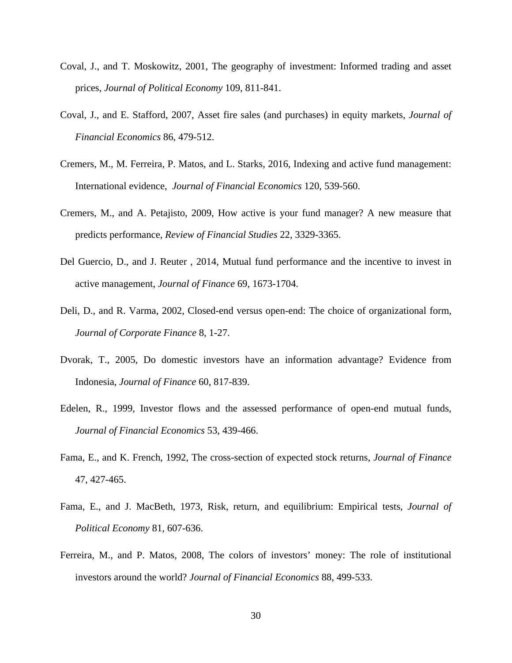- Coval, J., and T. Moskowitz, 2001, The geography of investment: Informed trading and asset prices, *Journal of Political Economy* 109, 811-841.
- Coval, J., and E. Stafford, 2007, Asset fire sales (and purchases) in equity markets, *Journal of Financial Economics* 86, 479-512.
- Cremers, M., M. Ferreira, P. Matos, and L. Starks, 2016, Indexing and active fund management: International evidence, *Journal of Financial Economics* 120, 539-560.
- Cremers, M., and A. Petajisto, 2009, How active is your fund manager? A new measure that predicts performance, *Review of Financial Studies* 22, 3329-3365.
- Del Guercio, D., and J. Reuter , 2014, Mutual fund performance and the incentive to invest in active management, *Journal of Finance* 69, 1673-1704.
- Deli, D., and R. Varma, 2002, Closed-end versus open-end: The choice of organizational form, *Journal of Corporate Finance* 8, 1-27.
- Dvorak, T., 2005, Do domestic investors have an information advantage? Evidence from Indonesia, *Journal of Finance* 60, 817-839.
- Edelen, R., 1999, Investor flows and the assessed performance of open-end mutual funds, *Journal of Financial Economics* 53, 439-466.
- Fama, E., and K. French, 1992, The cross-section of expected stock returns, *Journal of Finance* 47, 427-465.
- Fama, E., and J. MacBeth, 1973, Risk, return, and equilibrium: Empirical tests, *Journal of Political Economy* 81, 607-636.
- Ferreira, M., and P. Matos, 2008, The colors of investors' money: The role of institutional investors around the world? *Journal of Financial Economics* 88, 499-533.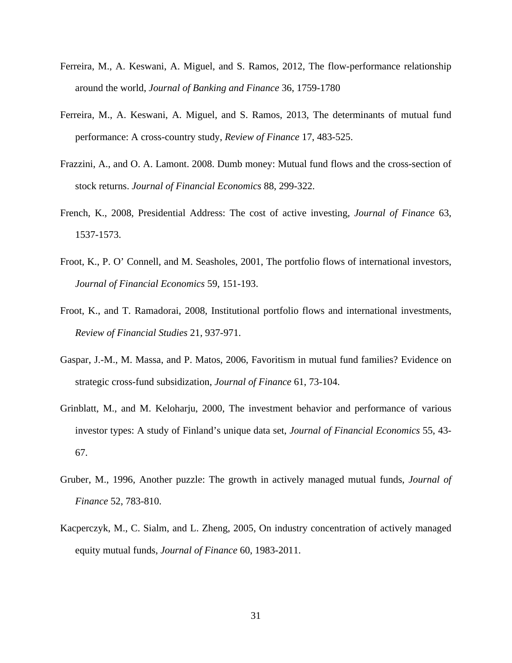- Ferreira, M., A. Keswani, A. Miguel, and S. Ramos, 2012, The flow-performance relationship around the world, *Journal of Banking and Finance* 36, 1759-1780
- Ferreira, M., A. Keswani, A. Miguel, and S. Ramos, 2013, The determinants of mutual fund performance: A cross-country study, *Review of Finance* 17, 483-525.
- Frazzini, A., and O. A. Lamont. 2008. Dumb money: Mutual fund flows and the cross-section of stock returns. *Journal of Financial Economics* 88, 299-322.
- French, K., 2008, Presidential Address: The cost of active investing, *Journal of Finance* 63, 1537-1573.
- Froot, K., P. O' Connell, and M. Seasholes, 2001, The portfolio flows of international investors, *Journal of Financial Economics* 59, 151-193.
- Froot, K., and T. Ramadorai, 2008, Institutional portfolio flows and international investments, *Review of Financial Studies* 21, 937-971.
- Gaspar, J.-M., M. Massa, and P. Matos, 2006, Favoritism in mutual fund families? Evidence on strategic cross-fund subsidization, *Journal of Finance* 61, 73-104.
- Grinblatt, M., and M. Keloharju, 2000, The investment behavior and performance of various investor types: A study of Finland's unique data set, *Journal of Financial Economics* 55, 43- 67.
- Gruber, M., 1996, Another puzzle: The growth in actively managed mutual funds, *Journal of Finance* 52, 783-810.
- Kacperczyk, M., C. Sialm, and L. Zheng, 2005, On industry concentration of actively managed equity mutual funds, *Journal of Finance* 60, 1983-2011.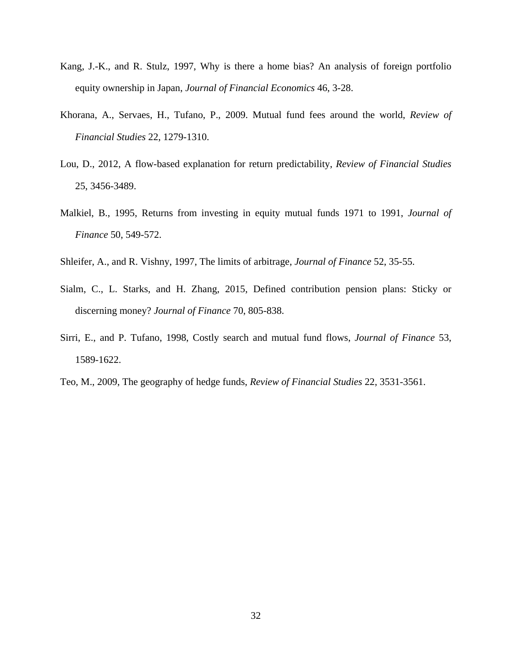- Kang, J.-K., and R. Stulz, 1997, Why is there a home bias? An analysis of foreign portfolio equity ownership in Japan, *Journal of Financial Economics* 46, 3-28.
- Khorana, A., Servaes, H., Tufano, P., 2009. Mutual fund fees around the world, *Review of Financial Studies* 22, 1279-1310.
- Lou, D., 2012, A flow-based explanation for return predictability, *Review of Financial Studies* 25, 3456-3489.
- Malkiel, B., 1995, Returns from investing in equity mutual funds 1971 to 1991, *Journal of Finance* 50, 549-572.
- Shleifer, A., and R. Vishny, 1997, The limits of arbitrage, *Journal of Finance* 52, 35-55.
- Sialm, C., L. Starks, and H. Zhang, 2015, Defined contribution pension plans: Sticky or discerning money? *Journal of Finance* 70, 805-838.
- Sirri, E., and P. Tufano, 1998, Costly search and mutual fund flows, *Journal of Finance* 53, 1589-1622.
- Teo, M., 2009, The geography of hedge funds, *Review of Financial Studies* 22, 3531-3561.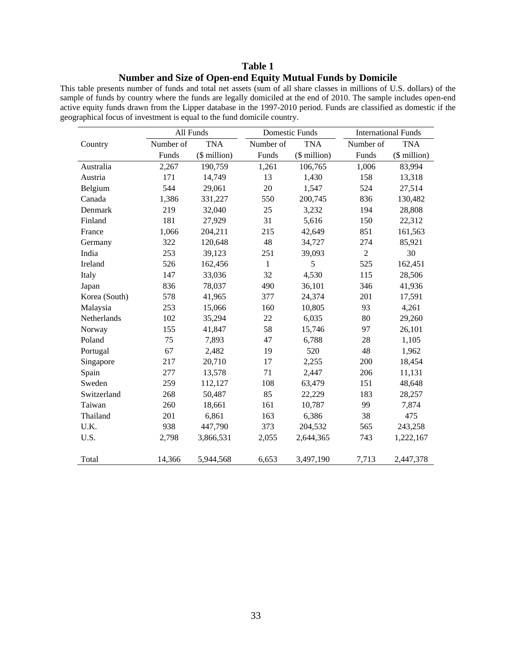#### **Table 1 Number and Size of Open-end Equity Mutual Funds by Domicile**

This table presents number of funds and total net assets (sum of all share classes in millions of U.S. dollars) of the sample of funds by country where the funds are legally domiciled at the end of 2010. The sample includes open-end active equity funds drawn from the Lipper database in the 1997-2010 period. Funds are classified as domestic if the geographical focus of investment is equal to the fund domicile country.

|               | All Funds |              |              | <b>Domestic Funds</b> | <b>International Funds</b> |              |  |  |  |
|---------------|-----------|--------------|--------------|-----------------------|----------------------------|--------------|--|--|--|
| Country       | Number of | <b>TNA</b>   | Number of    | <b>TNA</b>            | Number of                  | <b>TNA</b>   |  |  |  |
|               | Funds     | (\$ million) | Funds        | (\$ million)          | Funds                      | (\$ million) |  |  |  |
| Australia     | 2,267     | 190,759      | 1,261        | 106,765               | 1,006                      | 83,994       |  |  |  |
| Austria       | 171       | 14,749       | 13           | 1,430                 | 158                        | 13,318       |  |  |  |
| Belgium       | 544       | 29,061       | 20           | 1,547                 | 524                        | 27,514       |  |  |  |
| Canada        | 1,386     | 331,227      | 550          | 200,745               | 836                        | 130,482      |  |  |  |
| Denmark       | 219       | 32,040       | 25           | 3,232                 | 194                        | 28,808       |  |  |  |
| Finland       | 181       | 27,929       | 31           | 5,616                 | 150                        | 22,312       |  |  |  |
| France        | 1,066     | 204,211      | 215          | 42,649                | 851                        | 161,563      |  |  |  |
| Germany       | 322       | 120,648      | 48           | 34,727                | 274                        | 85,921       |  |  |  |
| India         | 253       | 39,123       | 251          | 39,093                | $\overline{2}$             | 30           |  |  |  |
| Ireland       | 526       | 162,456      | $\mathbf{1}$ | 5                     | 525                        | 162,451      |  |  |  |
| Italy         | 147       | 33,036       | 32           | 4,530                 | 115                        | 28,506       |  |  |  |
| Japan         | 836       | 78,037       | 490          | 36,101                | 346                        | 41,936       |  |  |  |
| Korea (South) | 578       | 41,965       | 377          | 24,374                | 201                        | 17,591       |  |  |  |
| Malaysia      | 253       | 15,066       | 160          | 10,805                | 93                         | 4,261        |  |  |  |
| Netherlands   | 102       | 35,294       | 22           | 6,035                 | 80                         | 29,260       |  |  |  |
| Norway        | 155       | 41,847       | 58           | 15,746                | 97                         | 26,101       |  |  |  |
| Poland        | 75        | 7,893        | 47           | 6,788                 | 28                         | 1,105        |  |  |  |
| Portugal      | 67        | 2,482        | 19           | 520                   | 48                         | 1,962        |  |  |  |
| Singapore     | 217       | 20,710       | 17           | 2,255                 | 200                        | 18,454       |  |  |  |
| Spain         | 277       | 13,578       | 71           | 2,447                 | 206                        | 11,131       |  |  |  |
| Sweden        | 259       | 112,127      | 108          | 63,479                | 151                        | 48,648       |  |  |  |
| Switzerland   | 268       | 50,487       | 85           | 22,229                | 183                        | 28,257       |  |  |  |
| Taiwan        | 260       | 18,661       | 161          | 10,787                | 99                         | 7,874        |  |  |  |
| Thailand      | 201       | 6,861        | 163          | 6,386                 | 38                         | 475          |  |  |  |
| U.K.          | 938       | 447,790      | 373          | 204,532               | 565                        | 243,258      |  |  |  |
| U.S.          | 2,798     | 3,866,531    | 2,055        | 2,644,365             | 743                        | 1,222,167    |  |  |  |
| Total         | 14,366    | 5,944,568    | 6,653        | 3,497,190             | 7,713                      | 2,447,378    |  |  |  |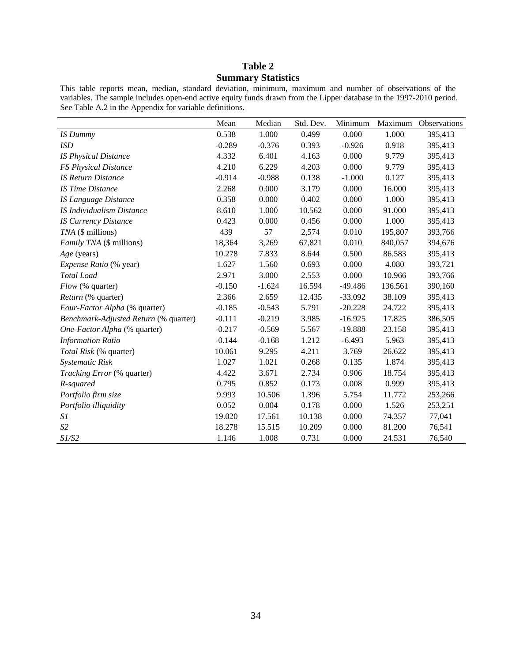#### **Table 2 Summary Statistics**

This table reports mean, median, standard deviation, minimum, maximum and number of observations of the variables. The sample includes open-end active equity funds drawn from the Lipper database in the 1997-2010 period. See Table A.2 in the Appendix for variable definitions.

|                                       | Mean     | Median   | Std. Dev. | Minimum   | Maximum | Observations |
|---------------------------------------|----------|----------|-----------|-----------|---------|--------------|
| IS Dummy                              | 0.538    | 1.000    | 0.499     | 0.000     | 1.000   | 395,413      |
| <b>ISD</b>                            | $-0.289$ | $-0.376$ | 0.393     | $-0.926$  | 0.918   | 395,413      |
| <b>IS Physical Distance</b>           | 4.332    | 6.401    | 4.163     | 0.000     | 9.779   | 395,413      |
| <b>FS Physical Distance</b>           | 4.210    | 6.229    | 4.203     | 0.000     | 9.779   | 395,413      |
| <b>IS Return Distance</b>             | $-0.914$ | $-0.988$ | 0.138     | $-1.000$  | 0.127   | 395,413      |
| <b>IS Time Distance</b>               | 2.268    | 0.000    | 3.179     | 0.000     | 16.000  | 395,413      |
| <b>IS Language Distance</b>           | 0.358    | 0.000    | 0.402     | 0.000     | 1.000   | 395,413      |
| IS Individualism Distance             | 8.610    | 1.000    | 10.562    | 0.000     | 91.000  | 395,413      |
| <b>IS Currency Distance</b>           | 0.423    | 0.000    | 0.456     | 0.000     | 1.000   | 395,413      |
| TNA (\$ millions)                     | 439      | 57       | 2,574     | 0.010     | 195,807 | 393,766      |
| Family TNA (\$ millions)              | 18,364   | 3,269    | 67,821    | 0.010     | 840,057 | 394,676      |
| Age (years)                           | 10.278   | 7.833    | 8.644     | 0.500     | 86.583  | 395,413      |
| Expense Ratio (% year)                | 1.627    | 1.560    | 0.693     | 0.000     | 4.080   | 393,721      |
| Total Load                            | 2.971    | 3.000    | 2.553     | 0.000     | 10.966  | 393,766      |
| Flow (% quarter)                      | $-0.150$ | $-1.624$ | 16.594    | $-49.486$ | 136.561 | 390,160      |
| Return (% quarter)                    | 2.366    | 2.659    | 12.435    | $-33.092$ | 38.109  | 395,413      |
| Four-Factor Alpha (% quarter)         | $-0.185$ | $-0.543$ | 5.791     | $-20.228$ | 24.722  | 395,413      |
| Benchmark-Adjusted Return (% quarter) | $-0.111$ | $-0.219$ | 3.985     | $-16.925$ | 17.825  | 386,505      |
| One-Factor Alpha (% quarter)          | $-0.217$ | $-0.569$ | 5.567     | $-19.888$ | 23.158  | 395,413      |
| <b>Information Ratio</b>              | $-0.144$ | $-0.168$ | 1.212     | $-6.493$  | 5.963   | 395,413      |
| Total Risk (% quarter)                | 10.061   | 9.295    | 4.211     | 3.769     | 26.622  | 395,413      |
| Systematic Risk                       | 1.027    | 1.021    | 0.268     | 0.135     | 1.874   | 395,413      |
| <i>Tracking Error</i> (% quarter)     | 4.422    | 3.671    | 2.734     | 0.906     | 18.754  | 395,413      |
| R-squared                             | 0.795    | 0.852    | 0.173     | 0.008     | 0.999   | 395,413      |
| Portfolio firm size                   | 9.993    | 10.506   | 1.396     | 5.754     | 11.772  | 253,266      |
| Portfolio illiquidity                 | 0.052    | 0.004    | 0.178     | 0.000     | 1.526   | 253,251      |
| S1                                    | 19.020   | 17.561   | 10.138    | 0.000     | 74.357  | 77,041       |
| S <sub>2</sub>                        | 18.278   | 15.515   | 10.209    | 0.000     | 81.200  | 76,541       |
| S1/S2                                 | 1.146    | 1.008    | 0.731     | 0.000     | 24.531  | 76,540       |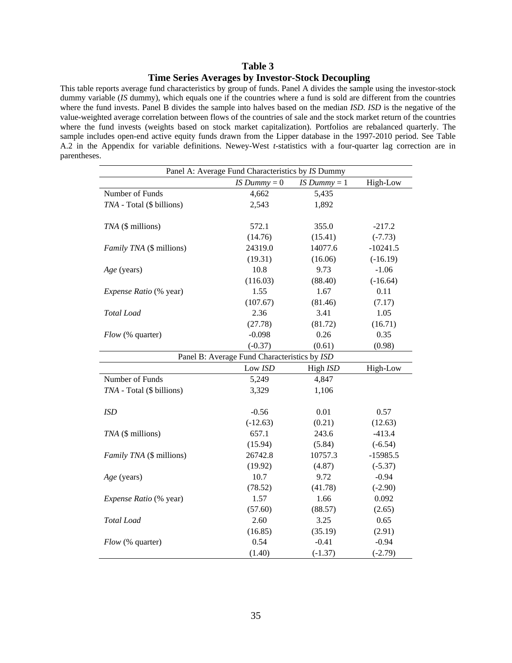#### **Table 3 Time Series Averages by Investor-Stock Decoupling**

This table reports average fund characteristics by group of funds. Panel A divides the sample using the investor-stock dummy variable (*IS* dummy), which equals one if the countries where a fund is sold are different from the countries where the fund invests. Panel B divides the sample into halves based on the median *ISD*. *ISD* is the negative of the value-weighted average correlation between flows of the countries of sale and the stock market return of the countries where the fund invests (weights based on stock market capitalization). Portfolios are rebalanced quarterly. The sample includes open-end active equity funds drawn from the Lipper database in the 1997-2010 period. See Table A.2 in the Appendix for variable definitions. Newey-West *t*-statistics with a four-quarter lag correction are in parentheses.

| Panel A: Average Fund Characteristics by IS Dummy |                                              |                |            |  |  |  |  |  |  |  |  |
|---------------------------------------------------|----------------------------------------------|----------------|------------|--|--|--|--|--|--|--|--|
|                                                   | IS $Dummy = 0$                               | IS Dummy $= 1$ | High-Low   |  |  |  |  |  |  |  |  |
| Number of Funds                                   | 4,662                                        | 5,435          |            |  |  |  |  |  |  |  |  |
| TNA - Total (\$ billions)                         | 2,543                                        | 1,892          |            |  |  |  |  |  |  |  |  |
|                                                   |                                              |                |            |  |  |  |  |  |  |  |  |
| TNA (\$ millions)                                 | 572.1                                        | 355.0          | $-217.2$   |  |  |  |  |  |  |  |  |
|                                                   | (14.76)                                      | (15.41)        | $(-7.73)$  |  |  |  |  |  |  |  |  |
| Family TNA (\$ millions)                          | 24319.0                                      | 14077.6        | $-10241.5$ |  |  |  |  |  |  |  |  |
|                                                   | (19.31)                                      | (16.06)        | $(-16.19)$ |  |  |  |  |  |  |  |  |
| Age (years)                                       | 10.8                                         | 9.73           | $-1.06$    |  |  |  |  |  |  |  |  |
|                                                   | (116.03)                                     | (88.40)        | $(-16.64)$ |  |  |  |  |  |  |  |  |
| Expense Ratio (% year)                            | 1.55                                         | 1.67           | 0.11       |  |  |  |  |  |  |  |  |
|                                                   | (107.67)                                     | (81.46)        | (7.17)     |  |  |  |  |  |  |  |  |
| <b>Total</b> Load                                 | 2.36                                         | 3.41           | 1.05       |  |  |  |  |  |  |  |  |
|                                                   | (27.78)                                      | (81.72)        | (16.71)    |  |  |  |  |  |  |  |  |
| Flow (% quarter)                                  | $-0.098$                                     | 0.26           | 0.35       |  |  |  |  |  |  |  |  |
|                                                   | $(-0.37)$                                    | (0.61)         | (0.98)     |  |  |  |  |  |  |  |  |
|                                                   | Panel B: Average Fund Characteristics by ISD |                |            |  |  |  |  |  |  |  |  |
|                                                   | Low ISD                                      | High ISD       | High-Low   |  |  |  |  |  |  |  |  |
| Number of Funds                                   | 5,249                                        | 4,847          |            |  |  |  |  |  |  |  |  |
| TNA - Total (\$ billions)                         | 3,329                                        | 1,106          |            |  |  |  |  |  |  |  |  |
|                                                   |                                              |                |            |  |  |  |  |  |  |  |  |
| <b>ISD</b>                                        | $-0.56$                                      | 0.01           | 0.57       |  |  |  |  |  |  |  |  |
|                                                   | $(-12.63)$                                   | (0.21)         | (12.63)    |  |  |  |  |  |  |  |  |
| TNA (\$ millions)                                 | 657.1                                        | 243.6          | $-413.4$   |  |  |  |  |  |  |  |  |
|                                                   | (15.94)                                      | (5.84)         | $(-6.54)$  |  |  |  |  |  |  |  |  |
| Family TNA (\$ millions)                          | 26742.8                                      | 10757.3        | $-15985.5$ |  |  |  |  |  |  |  |  |
|                                                   | (19.92)                                      | (4.87)         | $(-5.37)$  |  |  |  |  |  |  |  |  |
| Age (years)                                       | 10.7                                         | 9.72           | $-0.94$    |  |  |  |  |  |  |  |  |
|                                                   | (78.52)                                      | (41.78)        | $(-2.90)$  |  |  |  |  |  |  |  |  |
| Expense Ratio (% year)                            | 1.57                                         | 1.66           | 0.092      |  |  |  |  |  |  |  |  |
|                                                   | (57.60)                                      | (88.57)        | (2.65)     |  |  |  |  |  |  |  |  |
| <b>Total</b> Load                                 | 2.60                                         | 3.25           | 0.65       |  |  |  |  |  |  |  |  |
|                                                   | (16.85)                                      | (35.19)        | (2.91)     |  |  |  |  |  |  |  |  |
| Flow (% quarter)                                  | 0.54                                         | $-0.41$        | $-0.94$    |  |  |  |  |  |  |  |  |
|                                                   | (1.40)                                       | $(-1.37)$      | $(-2.79)$  |  |  |  |  |  |  |  |  |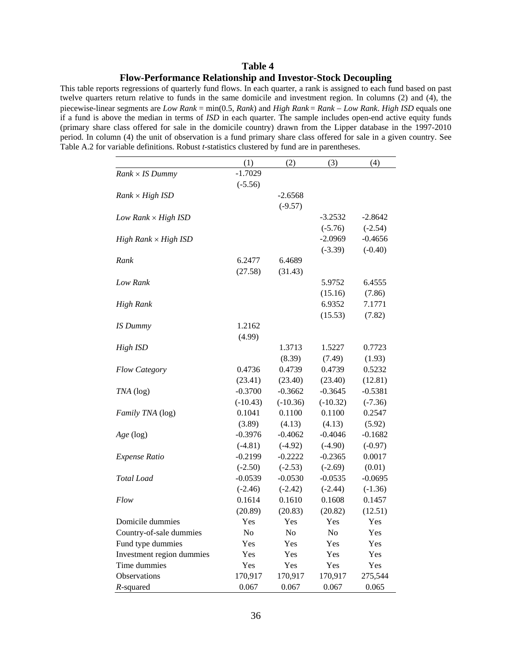#### **Table 4 Flow-Performance Relationship and Investor-Stock Decoupling**

This table reports regressions of quarterly fund flows. In each quarter, a rank is assigned to each fund based on past twelve quarters return relative to funds in the same domicile and investment region. In columns (2) and (4), the piecewise-linear segments are *Low Rank* = min(0.5, *Rank*) and *High Rank* = *Rank Low Rank*. *High ISD* equals one if a fund is above the median in terms of *ISD* in each quarter. The sample includes open-end active equity funds (primary share class offered for sale in the domicile country) drawn from the Lipper database in the 1997-2010 period. In column (4) the unit of observation is a fund primary share class offered for sale in a given country. See Table A.2 for variable definitions. Robust *t-*statistics clustered by fund are in parentheses.

|                             | (1)            | (2)        | (3)            | (4)       |
|-----------------------------|----------------|------------|----------------|-----------|
| $Rank \times IS$ Dummy      | $-1.7029$      |            |                |           |
|                             | $(-5.56)$      |            |                |           |
| $Rank \times High ISD$      |                | $-2.6568$  |                |           |
|                             |                | $(-9.57)$  |                |           |
| Low Rank $\times$ High ISD  |                |            | $-3.2532$      | $-2.8642$ |
|                             |                |            | $(-5.76)$      | $(-2.54)$ |
| High Rank $\times$ High ISD |                |            | $-2.0969$      | $-0.4656$ |
|                             |                |            | $(-3.39)$      | $(-0.40)$ |
| Rank                        | 6.2477         | 6.4689     |                |           |
|                             | (27.58)        | (31.43)    |                |           |
| Low Rank                    |                |            | 5.9752         | 6.4555    |
|                             |                |            | (15.16)        | (7.86)    |
| <b>High Rank</b>            |                |            | 6.9352         | 7.1771    |
|                             |                |            | (15.53)        | (7.82)    |
| IS Dummy                    | 1.2162         |            |                |           |
|                             | (4.99)         |            |                |           |
| High ISD                    |                | 1.3713     | 1.5227         | 0.7723    |
|                             |                | (8.39)     | (7.49)         | (1.93)    |
| <b>Flow Category</b>        | 0.4736         | 0.4739     | 0.4739         | 0.5232    |
|                             | (23.41)        | (23.40)    | (23.40)        | (12.81)   |
| $TNA$ (log)                 | $-0.3700$      | $-0.3662$  | $-0.3645$      | $-0.5381$ |
|                             | $(-10.43)$     | $(-10.36)$ | $(-10.32)$     | $(-7.36)$ |
| Family TNA (log)            | 0.1041         | 0.1100     | 0.1100         | 0.2547    |
|                             | (3.89)         | (4.13)     | (4.13)         | (5.92)    |
| Age (log)                   | $-0.3976$      | $-0.4062$  | $-0.4046$      | $-0.1682$ |
|                             | $(-4.81)$      | $(-4.92)$  | $(-4.90)$      | $(-0.97)$ |
| <b>Expense Ratio</b>        | $-0.2199$      | $-0.2222$  | $-0.2365$      | 0.0017    |
|                             | $(-2.50)$      | $(-2.53)$  | $(-2.69)$      | (0.01)    |
| <b>Total</b> Load           | -0.0539        | $-0.0530$  | $-0.0535$      | $-0.0695$ |
|                             | $(-2.46)$      | $(-2.42)$  | $(-2.44)$      | $(-1.36)$ |
| Flow                        | 0.1614         | 0.1610     | 0.1608         | 0.1457    |
|                             | (20.89)        | (20.83)    | (20.82)        | (12.51)   |
| Domicile dummies            | Yes            | Yes        | Yes            | Yes       |
| Country-of-sale dummies     | N <sub>o</sub> | No         | N <sub>o</sub> | Yes       |
| Fund type dummies           | Yes            | Yes        | Yes            | Yes       |
| Investment region dummies   | Yes            | Yes        | Yes            | Yes       |
| Time dummies                | Yes            | Yes        | Yes            | Yes       |
| Observations                | 170,917        | 170,917    | 170,917        | 275,544   |
| R-squared                   | 0.067          | 0.067      | 0.067          | 0.065     |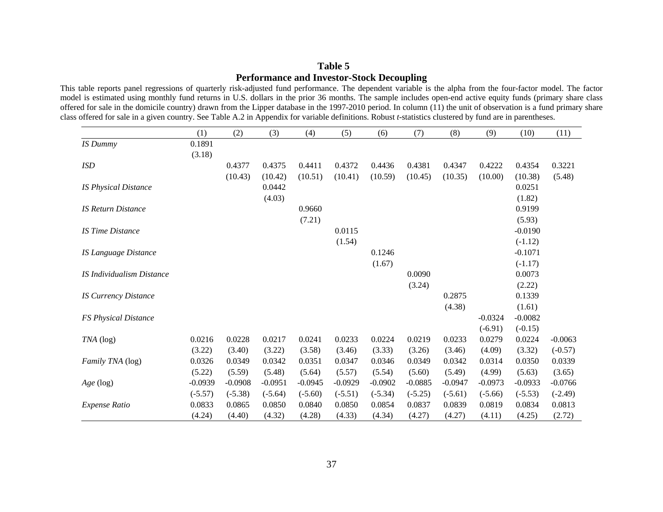#### **Table 5 Performance and Investor-Stock Decoupling**

This table reports panel regressions of quarterly risk-adjusted fund performance. The dependent variable is the alpha from the four-factor model. The factor model is estimated using monthly fund returns in U.S. dollars in the prior 36 months. The sample includes open-end active equity funds (primary share class offered for sale in the domicile country) drawn from the Lipper database in the 1997-2010 period. In column (11) the unit of observation is a fund primary share class offered for sale in a given country. See Table A.2 in Appendix for variable definitions. Robust *t-*statistics clustered by fund are in parentheses.

|                                  | (1)       | (2)       | (3)       | (4)       | (5)       | (6)       | (7)       | (8)       | (9)       | (10)      | (11)      |
|----------------------------------|-----------|-----------|-----------|-----------|-----------|-----------|-----------|-----------|-----------|-----------|-----------|
| <b>IS Dummy</b>                  | 0.1891    |           |           |           |           |           |           |           |           |           |           |
|                                  | (3.18)    |           |           |           |           |           |           |           |           |           |           |
| <b>ISD</b>                       |           | 0.4377    | 0.4375    | 0.4411    | 0.4372    | 0.4436    | 0.4381    | 0.4347    | 0.4222    | 0.4354    | 0.3221    |
|                                  |           | (10.43)   | (10.42)   | (10.51)   | (10.41)   | (10.59)   | (10.45)   | (10.35)   | (10.00)   | (10.38)   | (5.48)    |
| <b>IS Physical Distance</b>      |           |           | 0.0442    |           |           |           |           |           |           | 0.0251    |           |
|                                  |           |           | (4.03)    |           |           |           |           |           |           | (1.82)    |           |
| <b>IS Return Distance</b>        |           |           |           | 0.9660    |           |           |           |           |           | 0.9199    |           |
|                                  |           |           |           | (7.21)    |           |           |           |           |           | (5.93)    |           |
| <b>IS Time Distance</b>          |           |           |           |           | 0.0115    |           |           |           |           | $-0.0190$ |           |
|                                  |           |           |           |           | (1.54)    |           |           |           |           | $(-1.12)$ |           |
| <b>IS Language Distance</b>      |           |           |           |           |           | 0.1246    |           |           |           | $-0.1071$ |           |
|                                  |           |           |           |           |           | (1.67)    |           |           |           | $(-1.17)$ |           |
| <b>IS Individualism Distance</b> |           |           |           |           |           |           | 0.0090    |           |           | 0.0073    |           |
|                                  |           |           |           |           |           |           | (3.24)    |           |           | (2.22)    |           |
| <b>IS Currency Distance</b>      |           |           |           |           |           |           |           | 0.2875    |           | 0.1339    |           |
|                                  |           |           |           |           |           |           |           | (4.38)    |           | (1.61)    |           |
| <b>FS Physical Distance</b>      |           |           |           |           |           |           |           |           | $-0.0324$ | $-0.0082$ |           |
|                                  |           |           |           |           |           |           |           |           | $(-6.91)$ | $(-0.15)$ |           |
| $TNA$ (log)                      | 0.0216    | 0.0228    | 0.0217    | 0.0241    | 0.0233    | 0.0224    | 0.0219    | 0.0233    | 0.0279    | 0.0224    | $-0.0063$ |
|                                  | (3.22)    | (3.40)    | (3.22)    | (3.58)    | (3.46)    | (3.33)    | (3.26)    | (3.46)    | (4.09)    | (3.32)    | $(-0.57)$ |
| Family TNA (log)                 | 0.0326    | 0.0349    | 0.0342    | 0.0351    | 0.0347    | 0.0346    | 0.0349    | 0.0342    | 0.0314    | 0.0350    | 0.0339    |
|                                  | (5.22)    | (5.59)    | (5.48)    | (5.64)    | (5.57)    | (5.54)    | (5.60)    | (5.49)    | (4.99)    | (5.63)    | (3.65)    |
| Age (log)                        | $-0.0939$ | $-0.0908$ | $-0.0951$ | $-0.0945$ | $-0.0929$ | $-0.0902$ | $-0.0885$ | $-0.0947$ | $-0.0973$ | $-0.0933$ | $-0.0766$ |
|                                  | $(-5.57)$ | $(-5.38)$ | $(-5.64)$ | $(-5.60)$ | $(-5.51)$ | $(-5.34)$ | $(-5.25)$ | $(-5.61)$ | $(-5.66)$ | $(-5.53)$ | $(-2.49)$ |
| <b>Expense Ratio</b>             | 0.0833    | 0.0865    | 0.0850    | 0.0840    | 0.0850    | 0.0854    | 0.0837    | 0.0839    | 0.0819    | 0.0834    | 0.0813    |
|                                  | (4.24)    | (4.40)    | (4.32)    | (4.28)    | (4.33)    | (4.34)    | (4.27)    | (4.27)    | (4.11)    | (4.25)    | (2.72)    |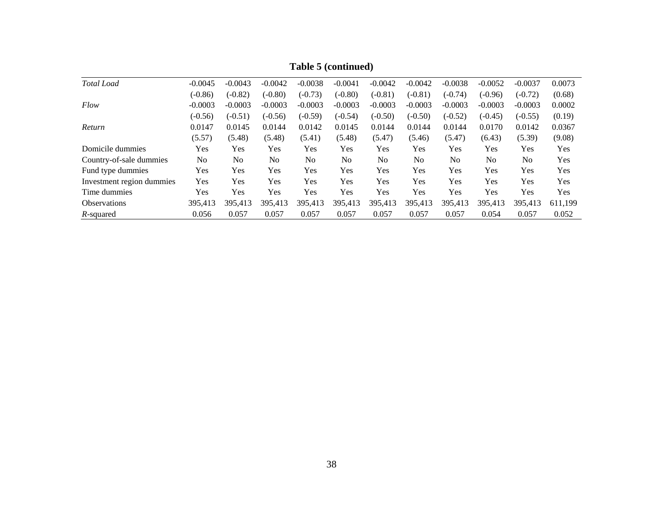| <b>Total</b> Load         | $-0.0045$  | $-0.0043$  | $-0.0042$      | $-0.0038$ | $-0.0041$ | $-0.0042$      | $-0.0042$      | $-0.0038$      | $-0.0052$      | $-0.0037$      | 0.0073     |
|---------------------------|------------|------------|----------------|-----------|-----------|----------------|----------------|----------------|----------------|----------------|------------|
|                           | $(-0.86)$  | $(-0.82)$  | $(-0.80)$      | $(-0.73)$ | $(-0.80)$ | $(-0.81)$      | $(-0.81)$      | $(-0.74)$      | $(-0.96)$      | $(-0.72)$      | (0.68)     |
| Flow                      | $-0.0003$  | $-0.0003$  | $-0.0003$      | $-0.0003$ | $-0.0003$ | $-0.0003$      | $-0.0003$      | $-0.0003$      | $-0.0003$      | $-0.0003$      | 0.0002     |
|                           | $(-0.56)$  | $(-0.51)$  | $(-0.56)$      | $(-0.59)$ | $(-0.54)$ | $(-0.50)$      | $(-0.50)$      | $(-0.52)$      | $(-0.45)$      | $(-0.55)$      | (0.19)     |
| Return                    | 0.0147     | 0.0145     | 0.0144         | 0.0142    | 0.0145    | 0.0144         | 0.0144         | 0.0144         | 0.0170         | 0.0142         | 0.0367     |
|                           | (5.57)     | (5.48)     | (5.48)         | (5.41)    | (5.48)    | (5.47)         | (5.46)         | (5.47)         | (6.43)         | (5.39)         | (9.08)     |
| Domicile dummies          | <b>Yes</b> | <b>Yes</b> | Yes            | Yes       | Yes       | Yes            | <b>Yes</b>     | Yes            | Yes            | <b>Yes</b>     | <b>Yes</b> |
| Country-of-sale dummies   | No         | No         | N <sub>0</sub> | No        | No        | N <sub>0</sub> | N <sub>0</sub> | N <sub>o</sub> | N <sub>0</sub> | N <sub>o</sub> | Yes        |
| Fund type dummies         | Yes        | <b>Yes</b> | Yes            | Yes       | Yes       | Yes            | Yes            | Yes            | Yes            | Yes            | Yes        |
| Investment region dummies | Yes        | Yes        | Yes            | Yes       | Yes       | Yes            | Yes            | Yes            | Yes            | Yes            | Yes        |
| Time dummies              | <b>Yes</b> | <b>Yes</b> | Yes            | Yes       | Yes       | Yes            | Yes            | Yes            | Yes            | <b>Yes</b>     | <b>Yes</b> |
| <b>Observations</b>       | 395,413    | 395,413    | 395,413        | 395,413   | 395,413   | 395,413        | 395,413        | 395,413        | 395,413        | 395,413        | 611,199    |
| R-squared                 | 0.056      | 0.057      | 0.057          | 0.057     | 0.057     | 0.057          | 0.057          | 0.057          | 0.054          | 0.057          | 0.052      |

**Table 5 (continued)**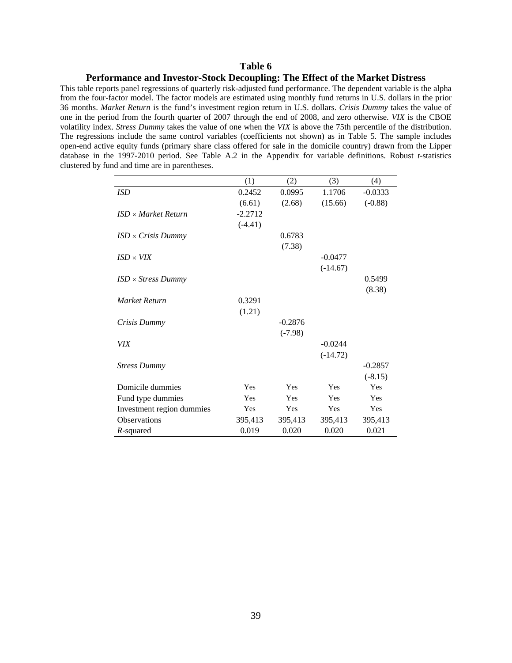#### **Table 6**

#### **Performance and Investor-Stock Decoupling: The Effect of the Market Distress**

This table reports panel regressions of quarterly risk-adjusted fund performance. The dependent variable is the alpha from the four-factor model. The factor models are estimated using monthly fund returns in U.S. dollars in the prior 36 months. *Market Return* is the fund's investment region return in U.S. dollars. *Crisis Dummy* takes the value of one in the period from the fourth quarter of 2007 through the end of 2008, and zero otherwise. *VIX* is the CBOE volatility index. *Stress Dummy* takes the value of one when the *VIX* is above the 75th percentile of the distribution. The regressions include the same control variables (coefficients not shown) as in Table 5. The sample includes open-end active equity funds (primary share class offered for sale in the domicile country) drawn from the Lipper database in the 1997-2010 period. See Table A.2 in the Appendix for variable definitions. Robust *t-*statistics clustered by fund and time are in parentheses.

|                                  | (1)       | (2)       | (3)        | (4)       |
|----------------------------------|-----------|-----------|------------|-----------|
| ISD                              | 0.2452    | 0.0995    | 1.1706     | $-0.0333$ |
|                                  | (6.61)    | (2.68)    | (15.66)    | $(-0.88)$ |
| $ISD \times Market$ Return       | $-2.2712$ |           |            |           |
|                                  | $(-4.41)$ |           |            |           |
| $ISD \times Crisis$ Dummy        |           | 0.6783    |            |           |
|                                  |           | (7.38)    |            |           |
| $ISD \times VIX$                 |           |           | $-0.0477$  |           |
|                                  |           |           | $(-14.67)$ |           |
| $ISD \times \text{Stress Dumny}$ |           |           |            | 0.5499    |
|                                  |           |           |            | (8.38)    |
| Market Return                    | 0.3291    |           |            |           |
|                                  | (1.21)    |           |            |           |
| Crisis Dummy                     |           | $-0.2876$ |            |           |
|                                  |           | $(-7.98)$ |            |           |
| <b>VIX</b>                       |           |           | $-0.0244$  |           |
|                                  |           |           | $(-14.72)$ |           |
| <b>Stress Dummy</b>              |           |           |            | $-0.2857$ |
|                                  |           |           |            | $(-8.15)$ |
| Domicile dummies                 | Yes       | Yes       | Yes        | Yes       |
| Fund type dummies                | Yes       | Yes       | Yes        | Yes       |
| Investment region dummies        | Yes       | Yes       | Yes        | Yes       |
| <b>Observations</b>              | 395,413   | 395,413   | 395,413    | 395,413   |
| $R$ -squared                     | 0.019     | 0.020     | 0.020      | 0.021     |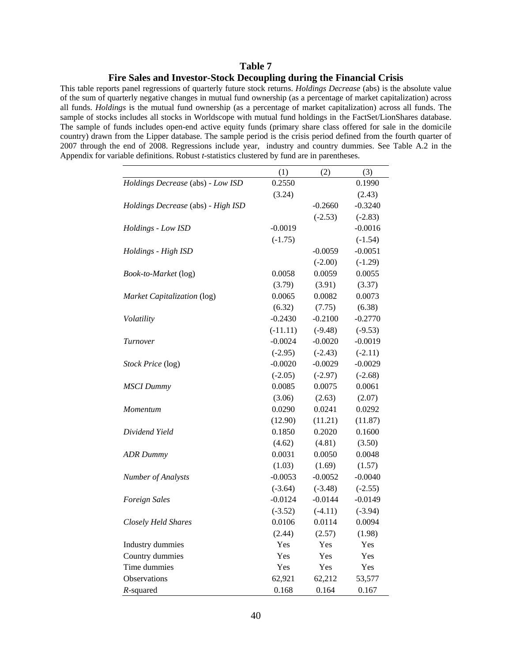#### **Table 7 Fire Sales and Investor-Stock Decoupling during the Financial Crisis**

This table reports panel regressions of quarterly future stock returns. *Holdings Decrease* (abs) is the absolute value of the sum of quarterly negative changes in mutual fund ownership (as a percentage of market capitalization) across all funds. *Holdings* is the mutual fund ownership (as a percentage of market capitalization) across all funds. The sample of stocks includes all stocks in Worldscope with mutual fund holdings in the FactSet/LionShares database. The sample of funds includes open-end active equity funds (primary share class offered for sale in the domicile country) drawn from the Lipper database. The sample period is the crisis period defined from the fourth quarter of 2007 through the end of 2008. Regressions include year, industry and country dummies. See Table A.2 in the Appendix for variable definitions. Robust *t-*statistics clustered by fund are in parentheses.

|                                    | (1)        | (2)       | (3)       |
|------------------------------------|------------|-----------|-----------|
| Holdings Decrease (abs) - Low ISD  | 0.2550     |           | 0.1990    |
|                                    | (3.24)     |           | (2.43)    |
| Holdings Decrease (abs) - High ISD |            | $-0.2660$ | $-0.3240$ |
|                                    |            | $(-2.53)$ | $(-2.83)$ |
| Holdings - Low ISD                 | $-0.0019$  |           | $-0.0016$ |
|                                    | $(-1.75)$  |           | $(-1.54)$ |
| Holdings - High ISD                |            | $-0.0059$ | $-0.0051$ |
|                                    |            | $(-2.00)$ | $(-1.29)$ |
| Book-to-Market (log)               | 0.0058     | 0.0059    | 0.0055    |
|                                    | (3.79)     | (3.91)    | (3.37)    |
| Market Capitalization (log)        | 0.0065     | 0.0082    | 0.0073    |
|                                    | (6.32)     | (7.75)    | (6.38)    |
| Volatility                         | $-0.2430$  | $-0.2100$ | $-0.2770$ |
|                                    | $(-11.11)$ | $(-9.48)$ | $(-9.53)$ |
| Turnover                           | $-0.0024$  | $-0.0020$ | $-0.0019$ |
|                                    | $(-2.95)$  | $(-2.43)$ | $(-2.11)$ |
| Stock Price (log)                  | $-0.0020$  | $-0.0029$ | $-0.0029$ |
|                                    | $(-2.05)$  | $(-2.97)$ | $(-2.68)$ |
| <b>MSCI</b> Dummy                  | 0.0085     | 0.0075    | 0.0061    |
|                                    | (3.06)     | (2.63)    | (2.07)    |
| Momentum                           | 0.0290     | 0.0241    | 0.0292    |
|                                    | (12.90)    | (11.21)   | (11.87)   |
| Dividend Yield                     | 0.1850     | 0.2020    | 0.1600    |
|                                    | (4.62)     | (4.81)    | (3.50)    |
| <b>ADR</b> Dummy                   | 0.0031     | 0.0050    | 0.0048    |
|                                    | (1.03)     | (1.69)    | (1.57)    |
| Number of Analysts                 | $-0.0053$  | $-0.0052$ | $-0.0040$ |
|                                    | $(-3.64)$  | $(-3.48)$ | $(-2.55)$ |
| <b>Foreign Sales</b>               | $-0.0124$  | $-0.0144$ | $-0.0149$ |
|                                    | $(-3.52)$  | $(-4.11)$ | $(-3.94)$ |
| Closely Held Shares                | 0.0106     | 0.0114    | 0.0094    |
|                                    | (2.44)     | (2.57)    | (1.98)    |
| <b>Industry dummies</b>            | Yes        | Yes       | Yes       |
| Country dummies                    | Yes        | Yes       | Yes       |
| Time dummies                       | Yes        | Yes       | Yes       |
| Observations                       | 62,921     | 62,212    | 53,577    |
| $R$ -squared                       | 0.168      | 0.164     | 0.167     |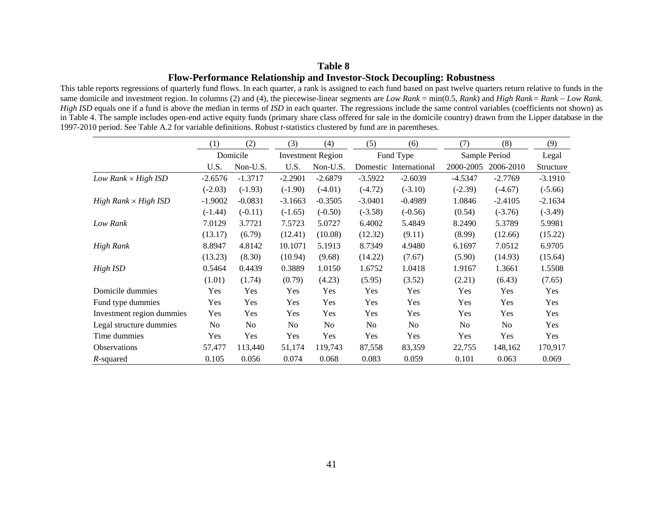#### **Table 8 Flow-Performance Relationship and Investor-Stock Decoupling: Robustness**

This table reports regressions of quarterly fund flows. In each quarter, a rank is assigned to each fund based on past twelve quarters return relative to funds in the same domicile and investment region. In columns (2) and (4), the piecewise-linear segments are *Low Rank* = min(0.5, *Rank*) and *High Rank* <sup>=</sup>*Rank Low Rank*. *High ISD* equals one if a fund is above the median in terms of *ISD* in each quarter. The regressions include the same control variables (coefficients not shown) as in Table 4. The sample includes open-end active equity funds (primary share class offered for sale in the domicile country) drawn from the Lipper database in the 1997-2010 period. See Table A.2 for variable definitions. Robust *t-*statistics clustered by fund are in parentheses.

|                             | (1)       | (2)            | (3)            | (4)                      | (5)            | (6)                    | (7)            | (8)            | (9)       |
|-----------------------------|-----------|----------------|----------------|--------------------------|----------------|------------------------|----------------|----------------|-----------|
|                             |           | Domicile       |                | <b>Investment Region</b> |                | Fund Type              |                | Sample Period  | Legal     |
|                             | U.S.      | Non-U.S.       | U.S.           | Non-U.S.                 |                | Domestic International | 2000-2005      | 2006-2010      | Structure |
| Low Rank $\times$ High ISD  | $-2.6576$ | $-1.3717$      | $-2.2901$      | $-2.6879$                | $-3.5922$      | $-2.6039$              | $-4.5347$      | $-2.7769$      | $-3.1910$ |
|                             | $(-2.03)$ | $(-1.93)$      | $(-1.90)$      | $(-4.01)$                | $(-4.72)$      | $(-3.10)$              | $(-2.39)$      | $(-4.67)$      | $(-5.66)$ |
| $High Rank \times High ISD$ | $-1.9002$ | $-0.0831$      | $-3.1663$      | $-0.3505$                | $-3.0401$      | $-0.4989$              | 1.0846         | $-2.4105$      | $-2.1634$ |
|                             | $(-1.44)$ | $(-0.11)$      | $(-1.65)$      | $(-0.50)$                | $(-3.58)$      | $(-0.56)$              | (0.54)         | $(-3.76)$      | $(-3.49)$ |
| Low Rank                    | 7.0129    | 3.7721         | 7.5723         | 5.0727                   | 6.4002         | 5.4849                 | 8.2490         | 5.3789         | 5.9981    |
|                             | (13.17)   | (6.79)         | (12.41)        | (10.08)                  | (12.32)        | (9.11)                 | (8.99)         | (12.66)        | (15.22)   |
| High Rank                   | 8.8947    | 4.8142         | 10.1071        | 5.1913                   | 8.7349         | 4.9480                 | 6.1697         | 7.0512         | 6.9705    |
|                             | (13.23)   | (8.30)         | (10.94)        | (9.68)                   | (14.22)        | (7.67)                 | (5.90)         | (14.93)        | (15.64)   |
| High ISD                    | 0.5464    | 0.4439         | 0.3889         | 1.0150                   | 1.6752         | 1.0418                 | 1.9167         | 1.3661         | 1.5508    |
|                             | (1.01)    | (1.74)         | (0.79)         | (4.23)                   | (5.95)         | (3.52)                 | (2.21)         | (6.43)         | (7.65)    |
| Domicile dummies            | Yes       | Yes            | Yes            | Yes                      | Yes            | Yes                    | Yes            | Yes            | Yes       |
| Fund type dummies           | Yes       | Yes            | Yes            | Yes                      | Yes            | Yes                    | Yes            | Yes            | Yes       |
| Investment region dummies   | Yes       | Yes            | Yes            | Yes                      | Yes            | Yes                    | Yes            | Yes            | Yes       |
| Legal structure dummies     | No.       | N <sub>o</sub> | N <sub>0</sub> | No                       | N <sub>0</sub> | No                     | N <sub>0</sub> | N <sub>0</sub> | Yes       |
| Time dummies                | Yes       | Yes            | Yes            | Yes                      | Yes            | Yes                    | Yes            | Yes            | Yes       |
| <b>Observations</b>         | 57,477    | 113,440        | 51,174         | 119,743                  | 87,558         | 83,359                 | 22,755         | 148,162        | 170,917   |
| R-squared                   | 0.105     | 0.056          | 0.074          | 0.068                    | 0.083          | 0.059                  | 0.101          | 0.063          | 0.069     |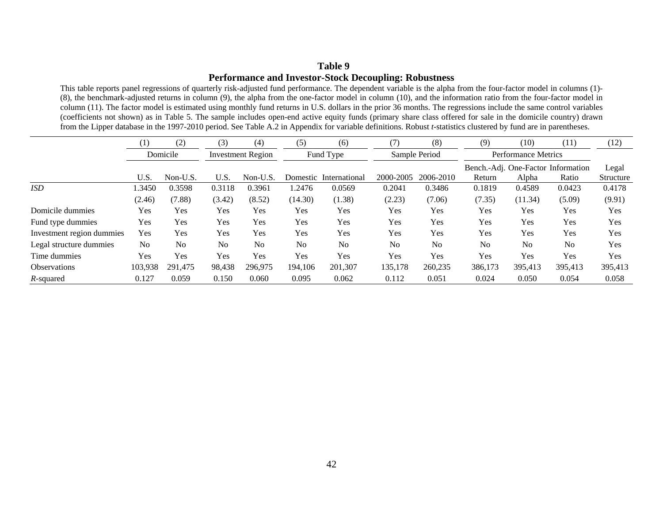#### **Table 9 Performance and Investor-Stock Decoupling: Robustness**

This table reports panel regressions of quarterly risk-adjusted fund performance. The dependent variable is the alpha from the four-factor model in columns (1)- (8), the benchmark-adjusted returns in column (9), the alpha from the one-factor model in column (10), and the information ratio from the four-factor model in column (11). The factor model is estimated using monthly fund returns in U.S. dollars in the prior 36 months. The regressions include the same control variables (coefficients not shown) as in Table 5. The sample includes open-end active equity funds (primary share class offered for sale in the domicile country) drawn from the Lipper database in the 1997-2010 period. See Table A.2 in Appendix for variable definitions. Robust *t-*statistics clustered by fund are in parentheses.

|                           | (1)            | (2)      | (3)                      | (4)            | (5)            | (6)            | (7)       | (8)           | (9)            | (10)                       | (11)                               | (12)       |  |  |
|---------------------------|----------------|----------|--------------------------|----------------|----------------|----------------|-----------|---------------|----------------|----------------------------|------------------------------------|------------|--|--|
|                           |                | Domicile | <b>Investment Region</b> |                |                | Fund Type      |           | Sample Period |                | <b>Performance Metrics</b> |                                    |            |  |  |
|                           |                |          |                          |                |                |                |           |               |                |                            | Bench.-Adj. One-Factor Information | Legal      |  |  |
|                           | U.S.           | Non-U.S. | U.S.                     | Non-U.S.       | Domestic       | International  | 2000-2005 | 2006-2010     | Return         | Alpha                      | Ratio                              | Structure  |  |  |
| <i>ISD</i>                | 1.3450         | 0.3598   | 0.3118                   | 0.3961         | 1.2476         | 0.0569         | 0.2041    | 0.3486        | 0.1819         | 0.4589                     | 0.0423                             | 0.4178     |  |  |
|                           | (2.46)         | (7.88)   | (3.42)                   | (8.52)         | (14.30)        | (1.38)         | (2.23)    | (7.06)        | (7.35)         | (11.34)                    | (5.09)                             | (9.91)     |  |  |
| Domicile dummies          | Yes            | Yes      | Yes                      | Yes            | Yes            | Yes            | Yes       | Yes           | Yes            | Yes                        | Yes                                | Yes        |  |  |
| Fund type dummies         | Yes            | Yes      | Yes                      | Yes            | Yes            | Yes            | Yes       | Yes           | Yes            | Yes                        | Yes                                | Yes        |  |  |
| Investment region dummies | Yes            | Yes      | Yes                      | Yes            | Yes            | Yes            | Yes       | Yes           | Yes            | Yes                        | Yes                                | Yes        |  |  |
| Legal structure dummies   | N <sub>0</sub> | No       | N <sub>o</sub>           | N <sub>o</sub> | N <sub>0</sub> | N <sub>0</sub> | No        | No            | N <sub>0</sub> | N <sub>0</sub>             | No                                 | Yes        |  |  |
| Time dummies              | Yes            | Yes      | Yes                      | Yes            | Yes            | Yes            | Yes       | Yes           | Yes            | Yes                        | Yes                                | <b>Yes</b> |  |  |
| <b>Observations</b>       | 103,938        | 291.475  | 98,438                   | 296,975        | 194,106        | 201,307        | 135,178   | 260,235       | 386,173        | 395,413                    | 395,413                            | 395,413    |  |  |
| R-squared                 | 0.127          | 0.059    | 0.150                    | 0.060          | 0.095          | 0.062          | 0.112     | 0.051         | 0.024          | 0.050                      | 0.054                              | 0.058      |  |  |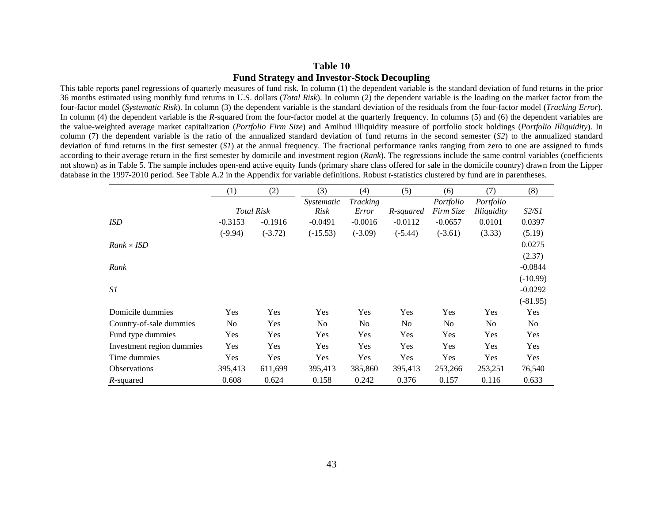#### **Table 10 Fund Strategy and Investor-Stock Decoupling**

This table reports panel regressions of quarterly measures of fund risk. In column (1) the dependent variable is the standard deviation of fund returns in the prior 36 months estimated using monthly fund returns in U.S. dollars (*Total Risk*). In column (2) the dependent variable is the loading on the market factor from the four-factor model (*Systematic Risk*). In column (3) the dependent variable is the standard deviation of the residuals from the four-factor model (*Tracking Error*). In column (4) the dependent variable is the *R*-squared from the four-factor model at the quarterly frequency. In columns (5) and (6) the dependent variables are the value-weighted average market capitalization (*Portfolio Firm Size*) and Amihud illiquidity measure of portfolio stock holdings (*Portfolio Illiquidity*). In column (7) the dependent variable is the ratio of the annualized standard deviation of fund returns in the second semester (*S2*) to the annualized standard deviation of fund returns in the first semester (SI) at the annual frequency. The fractional performance ranks ranging from zero to one are assigned to funds according to their average return in the first semester by domicile and investment region (*Rank*). The regressions include the same control variables (coefficients not shown) as in Table 5. The sample includes open-end active equity funds (primary share class offered for sale in the domicile country) drawn from the Lipper database in the 1997-2010 period. See Table A.2 in the Appendix for variable definitions. Robust *t-*statistics clustered by fund are in parentheses.

|                           | (2)<br>(1)     |                   | (3)            | (4)            | (5)            | (6)            | (7)                | (8)          |
|---------------------------|----------------|-------------------|----------------|----------------|----------------|----------------|--------------------|--------------|
|                           |                |                   | Systematic     | Tracking       |                | Portfolio      | Portfolio          |              |
|                           |                | <b>Total Risk</b> | Risk           | Error          | R-squared      | Firm Size      | <i>Illiquidity</i> | <i>S2/S1</i> |
| <b>ISD</b>                | $-0.3153$      | $-0.1916$         | $-0.0491$      | $-0.0016$      | $-0.0112$      | $-0.0657$      | 0.0101             | 0.0397       |
|                           | $(-9.94)$      | $(-3.72)$         | $(-15.53)$     | $(-3.09)$      | $(-5.44)$      | $(-3.61)$      | (3.33)             | (5.19)       |
| $Rank \times ISD$         |                |                   |                |                |                |                |                    | 0.0275       |
|                           |                |                   |                |                |                |                |                    | (2.37)       |
| Rank                      |                |                   |                |                |                |                |                    | $-0.0844$    |
|                           |                |                   |                |                |                |                |                    | $(-10.99)$   |
| S1                        |                |                   |                |                |                |                |                    | $-0.0292$    |
|                           |                |                   |                |                |                |                |                    | $(-81.95)$   |
| Domicile dummies          | <b>Yes</b>     | <b>Yes</b>        | Yes            | <b>Yes</b>     | Yes            | Yes            | Yes                | <b>Yes</b>   |
| Country-of-sale dummies   | N <sub>0</sub> | <b>Yes</b>        | N <sub>0</sub> | N <sub>0</sub> | N <sub>0</sub> | N <sub>0</sub> | No.                | No           |
| Fund type dummies         | Yes            | Yes               | Yes            | Yes            | Yes            | Yes            | Yes                | Yes          |
| Investment region dummies | Yes            | Yes               | Yes            | Yes            | Yes            | Yes            | Yes                | Yes          |
| Time dummies              | Yes            | Yes               | Yes            | Yes            | Yes            | Yes            | Yes                | Yes          |
| <b>Observations</b>       | 395,413        | 611,699           | 395,413        | 385,860        | 395,413        | 253,266        | 253,251            | 76,540       |
| R-squared                 | 0.608          | 0.624             | 0.158          | 0.242          | 0.376          | 0.157          | 0.116              | 0.633        |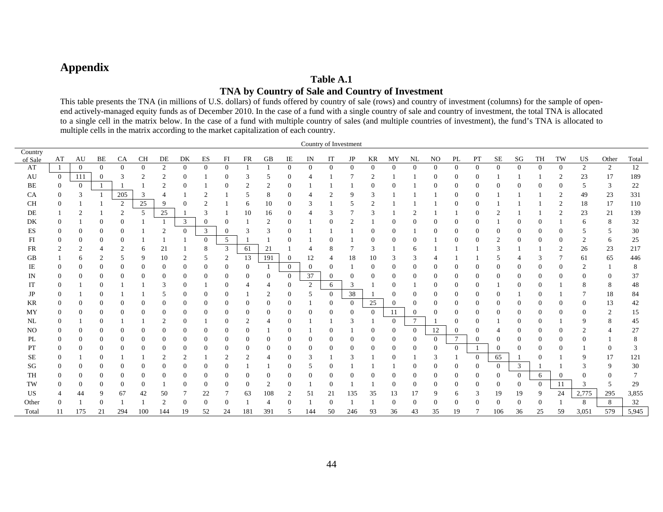## **Appendix**

#### **Table A.1 TNA by Country of Sale and Country of Investment**

This table presents the TNA (in millions of U.S. dollars) of funds offered by country of sale (rows) and country of investment (columns) for the sample of openend actively-managed equity funds as of December 2010. In the case of a fund with a single country of sale and country of investment, the total TNA is allocated to a single cell in the matrix below. In the case of a fund with multiple country of sales (and multiple countries of investment), the fund's TNA is allocated to multiple cells in the matrix according to the market capitalization of each country.

|                | Country of Investment |                |                  |                |                 |                |                  |                |                |                |                |                |                          |                |                |                |                |                |                |                |                |                |                |                |                |                |                |        |
|----------------|-----------------------|----------------|------------------|----------------|-----------------|----------------|------------------|----------------|----------------|----------------|----------------|----------------|--------------------------|----------------|----------------|----------------|----------------|----------------|----------------|----------------|----------------|----------------|----------------|----------------|----------------|----------------|----------------|--------|
| Country        |                       |                |                  |                |                 |                |                  |                |                |                |                |                |                          |                |                |                |                |                |                |                |                |                |                |                |                |                |                |        |
| of Sale        | AT                    | AU             | BE               | CA             | <b>CH</b>       | $\rm DE$       | DK               | ES             | FI             | <b>FR</b>      | GB             | $\rm IE$       | $\ensuremath{\text{IN}}$ | IT             | JP             | KR             | MY<br>$\Omega$ | NL             | NO             | $\mathbf{PL}$  | PT             | $\rm SE$       | SG             | TH             | TW             | US             | Other          | Total  |
| AT             |                       | $\overline{0}$ | $\Omega$         | $\theta$       | $\mathbf{0}$    | 2              | $\overline{0}$   | $\Omega$       | $\overline{0}$ |                |                | $\mathbf{0}$   | $\Omega$                 | $\theta$       | $\Omega$       | $\theta$       |                | $\overline{0}$ | $\theta$       | $\overline{0}$ | $\theta$       | $\overline{0}$ | $\overline{0}$ | $\overline{0}$ | $\overline{0}$ | 2              | 2              | 12     |
| AU             | $\overline{0}$        | 111            | $\Omega$         | 3              | $\overline{2}$  | $\overline{c}$ | $\Omega$         |                | 0              | 3              | 5              | $\Omega$       |                          |                |                |                |                |                | $\Omega$       | $\Omega$       | $\Omega$       |                |                |                | $\overline{2}$ | 23             | 17             | 189    |
| BE             | $\theta$              | $\theta$       |                  |                |                 | $\overline{2}$ | $\overline{0}$   |                | 0              |                | $\overline{2}$ | $\theta$       |                          |                |                | 0              | $\Omega$       |                | $\overline{0}$ | $\theta$       | $\theta$       | $\overline{0}$ |                | $\Omega$       | $\Omega$       | 5              | 3              | 22     |
| CA             | $\Omega$              | 3              |                  | 205            | 3               |                |                  | $\overline{c}$ |                | 5              | 8              | 0              |                          | $\overline{c}$ | 9              | 3              |                |                |                | $\overline{0}$ | $\theta$       |                |                |                | $\overline{2}$ | 49             | 23             | 331    |
| <b>CH</b>      | 0                     |                |                  | 2              | $\overline{25}$ | 9              | $\Omega$         |                |                | 6              | 10             | 0              | 3                        |                | 5              | $\overline{2}$ |                |                |                | $\Omega$       | $\Omega$       |                |                |                | $\overline{2}$ | 18             | 17             | 110    |
| DE             |                       | 2              |                  | 2              | 5               | 25             |                  | 3              |                | 10             | 16             | 0              |                          | 3              |                |                |                | $\overline{2}$ |                |                | $\theta$       | $\bigcap$      |                |                | $\overline{2}$ | 23             | 21             | 139    |
| DK             | $\Omega$              |                | $\overline{0}$   | $\overline{0}$ |                 |                | 3 <sup>1</sup>   | $\overline{0}$ | $\overline{0}$ |                | 2              | $\Omega$       |                          | $\Omega$       | $\overline{2}$ |                |                | $\Omega$       | $\Omega$       | $\Omega$       | $\theta$       |                |                | $\Omega$       |                | 6              | 8              | 32     |
| <b>ES</b>      |                       |                | $\theta$         | $\overline{0}$ |                 | 2              | $\overline{0}$   | 3              | $\theta$       | 3              | 3              | $\theta$       |                          |                |                | $\theta$       | $\Omega$       |                | $\overline{0}$ | $\overline{0}$ | $\overline{0}$ | $\overline{0}$ |                | $\overline{0}$ | $\Omega$       | 5              | 5              | $30\,$ |
| FI             | 0                     | $\Omega$       | $\theta$         | $\Omega$       |                 |                |                  | $\overline{0}$ | 5              |                |                | $\Omega$       |                          | $\Omega$       |                | $\Omega$       | $\Omega$       | $\Omega$       |                | $\Omega$       | $\theta$       | 2              | $\overline{0}$ | $\Omega$       | $\Omega$       | $\overline{2}$ | 6              | 25     |
| <b>FR</b>      | 2                     | $\overline{c}$ | $\overline{4}$   | $\overline{c}$ | 6               | 21             |                  | 8              | 3              | 61             | 21             |                |                          | 8              |                | $\mathcal{R}$  |                | 6              |                |                |                | 3              |                |                | $\overline{2}$ | 26             | 23             | 217    |
| <b>GB</b>      |                       | 6              | 2                | 5              | 9               | 10             | 2                | 5              | 2              | 13             | 191            | $\overline{0}$ | 12                       |                | 18             | 10             | 3              | 3              |                |                |                | 5              |                | 3              | 7              | 61             | 65             | 446    |
| IE             |                       |                | $\boldsymbol{0}$ | $\Omega$       | $\mathbf{0}$    | $\theta$       | $\overline{0}$   | 0              | $\overline{0}$ | $\Omega$       |                | $\overline{0}$ | $\theta$                 | $\theta$       |                | $\Omega$       | $\overline{0}$ | $\Omega$       | $\overline{0}$ | $\Omega$       | $\Omega$       | $\overline{0}$ |                | $\overline{0}$ | $\Omega$       | $\overline{2}$ |                | 8      |
| IN             |                       | $\Omega$       | $\boldsymbol{0}$ | $\Omega$       | $\Omega$        | $\Omega$       | $\overline{0}$   | $^{(1)}$       | $\Omega$       | $\theta$       | 0              | $\overline{0}$ | 37                       | $\Omega$       | $\Omega$       |                | $\Omega$       | $\Omega$       | $\Omega$       | $\Omega$       | $\theta$       | $\Omega$       |                | $\Omega$       | ∩              | $\theta$       | $\overline{0}$ | 37     |
| IT             | 0                     |                | $\mathbf{0}$     |                |                 | 3              | $\Omega$         |                | $\overline{0}$ |                |                | $\overline{0}$ | 2                        | 6              | 3              |                | $\Omega$       |                | $\Omega$       | $\theta$       | $\theta$       |                | $\Omega$       | $\Omega$       |                | 8              | 8              | 48     |
| JP             |                       |                | $\theta$         |                |                 | 5              | 0                | 0              | $\overline{0}$ |                | 2              | 0              | 5                        | $\overline{0}$ | 38             |                |                | $\Omega$       | $\Omega$       | $\Omega$       | $\theta$       | $\overline{0}$ |                | $\Omega$       |                |                | 18             | 84     |
| KR             | 0                     |                | $\mathbf{0}$     | $\Omega$       | $\overline{0}$  | $\theta$       | $\mathbf{0}$     | $\theta$       | $\theta$       | $\Omega$       | 0              | $\bf{0}$       |                          | $\mathbf{0}$   | $\Omega$       | 25             | $\overline{0}$ | $\overline{0}$ | $\overline{0}$ | $\theta$       | $\theta$       | $\overline{0}$ | $\Omega$       | $\theta$       | $\left($       | 0              | 13             | 42     |
| MY             |                       |                | $\Omega$         | $\Omega$       | $\overline{0}$  | $\overline{0}$ | $\Omega$         | 0              | $\Omega$       | $\theta$       | $\Omega$       | 0              | $\Omega$                 | $\Omega$       | $\Omega$       | $\Omega$       | 11             | $\overline{0}$ | $\overline{0}$ | $\Omega$       | $\Omega$       | $\overline{0}$ | $\Omega$       | $\Omega$       | $\left($       | $\theta$       | 2              | 15     |
| NL             | $\Omega$              |                | $\theta$         |                |                 | 2              | 0                |                | 0              |                |                | 0              |                          |                | 3              |                | $\Omega$       | $\tau$         |                | $\Omega$       | 0              |                |                | $\Omega$       |                | 9              | 8              | 45     |
| N <sub>O</sub> |                       |                | $\theta$         | $\Omega$       | $\overline{0}$  | $\Omega$       | $\boldsymbol{0}$ | 0              | 0              | $\Omega$       |                | 0              |                          | $\overline{0}$ |                |                | $\Omega$       | $\overline{0}$ | 12             | $\Omega$       | $\Omega$       |                |                | $\Omega$       |                |                |                | 27     |
| PL             | $\Omega$              | $\Omega$       | $\theta$         | $\Omega$       | $\overline{0}$  | $\Omega$       | $\overline{0}$   | 0              | $\overline{0}$ | $\Omega$       | 0              | $\Omega$       | $\Omega$                 | $\Omega$       | 0              | $\Omega$       | $\Omega$       | $\overline{0}$ | $\Omega$       | $\tau$         | $\theta$       | $\overline{0}$ |                | $\overline{0}$ |                |                |                | 8      |
| PT             |                       | $\theta$       | $\mathbf{0}$     | $\Omega$       | $\overline{0}$  | $\overline{0}$ | $\mathbf{0}$     | 0              | $\overline{0}$ | $\Omega$       | $\Omega$       | $\Omega$       | $\theta$                 | $\Omega$       | $\theta$       | $\Omega$       | $\Omega$       | $\overline{0}$ | $\overline{0}$ | $\Omega$       |                | $\Omega$       | $\Omega$       | $\overline{0}$ | $\Omega$       |                | $\overline{0}$ | 3      |
| <b>SE</b>      | $\Omega$              |                | $\theta$         |                |                 | $\overline{c}$ | 2                |                | $\overline{2}$ | $\overline{2}$ | 4              | $\Omega$       | 3                        |                | 3              |                | $\Omega$       |                | $\mathcal{R}$  |                | $\Omega$       | 65             |                | $\overline{0}$ |                | 9              | 17             | 121    |
| SG             |                       |                | $\Omega$         | $\Omega$       | $\Omega$        | $\Omega$       | $\overline{0}$   | 0              | 0              |                |                | 0              | 5                        | $\Omega$       |                |                |                | $\Omega$       | $\Omega$       | $\Omega$       | $\theta$       | $\overline{0}$ | 3              |                |                |                | 9              | 30     |
| TH             | $\Omega$              | $\Omega$       | $\bf{0}$         | $\Omega$       | $\mathbf{0}$    | $\Omega$       | $\overline{0}$   | 0              | $\theta$       | $\theta$       | 0              |                | $\theta$                 | $\Omega$       |                |                |                | $\Omega$       | $\Omega$       | $\overline{0}$ | $\theta$       | $\overline{0}$ | $\Omega$       | 6              | $\Omega$       |                | 0              |        |
| TW             |                       | $\Omega$       | $\mathbf{0}$     | $\overline{0}$ | $\overline{0}$  |                | $\overline{0}$   | $\overline{0}$ | $\overline{0}$ | $\Omega$       | 2              | $\Omega$       |                          | $\Omega$       |                |                | $\Omega$       | $\overline{0}$ | $\overline{0}$ | $\overline{0}$ | $\overline{0}$ | $\overline{0}$ | $\Omega$       | $\Omega$       | 11             | 3              | 5              | 29     |
| US             |                       | 44             | 9                | 67             | 42              | 50             |                  | 22             | 7              | 63             | 108            | 2              | 51                       | 21             | 135            | 35             | 13             | 17             | 9              | 6              | 3              | 19             | 19             | 9              | 24             | 2,775          | 295            | 3,855  |
| Other          |                       |                | $\Omega$         |                |                 | $\overline{c}$ | $\overline{0}$   | $\overline{0}$ | $\overline{0}$ |                | $\overline{4}$ | $\Omega$       |                          | $\theta$       |                |                | $\Omega$       | $\Omega$       | $\Omega$       | $\Omega$       | $\Omega$       | $\Omega$       | $\Omega$       | $\overline{0}$ |                | 8              | 8              | $32\,$ |
| Total          | 11                    | 175            | 21               | 294            | 100             | 144            | 19               | 52             | 24             | 181            | 391            | 5              | 144                      | 50             | 246            | 93             | 36             | 43             | 35             | 19             | 7              | 106            | 36             | 25             | 59             | 3,051          | 579            | 5,945  |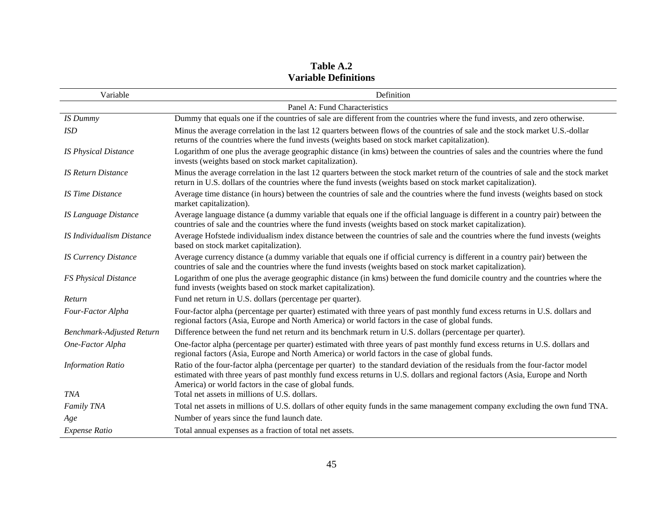| Table A.2                   |
|-----------------------------|
| <b>Variable Definitions</b> |

| Variable                         | Definition                                                                                                                                                                                                                                                                                                             |
|----------------------------------|------------------------------------------------------------------------------------------------------------------------------------------------------------------------------------------------------------------------------------------------------------------------------------------------------------------------|
|                                  | Panel A: Fund Characteristics                                                                                                                                                                                                                                                                                          |
| <b>IS Dummy</b>                  | Dummy that equals one if the countries of sale are different from the countries where the fund invests, and zero otherwise.                                                                                                                                                                                            |
| <b>ISD</b>                       | Minus the average correlation in the last 12 quarters between flows of the countries of sale and the stock market U.S.-dollar<br>returns of the countries where the fund invests (weights based on stock market capitalization).                                                                                       |
| <b>IS Physical Distance</b>      | Logarithm of one plus the average geographic distance (in kms) between the countries of sales and the countries where the fund<br>invests (weights based on stock market capitalization).                                                                                                                              |
| <b>IS Return Distance</b>        | Minus the average correlation in the last 12 quarters between the stock market return of the countries of sale and the stock market<br>return in U.S. dollars of the countries where the fund invests (weights based on stock market capitalization).                                                                  |
| <b>IS Time Distance</b>          | Average time distance (in hours) between the countries of sale and the countries where the fund invests (weights based on stock<br>market capitalization).                                                                                                                                                             |
| <b>IS Language Distance</b>      | Average language distance (a dummy variable that equals one if the official language is different in a country pair) between the<br>countries of sale and the countries where the fund invests (weights based on stock market capitalization).                                                                         |
| <b>IS Individualism Distance</b> | Average Hofstede individualism index distance between the countries of sale and the countries where the fund invests (weights<br>based on stock market capitalization).                                                                                                                                                |
| <b>IS Currency Distance</b>      | Average currency distance (a dummy variable that equals one if official currency is different in a country pair) between the<br>countries of sale and the countries where the fund invests (weights based on stock market capitalization).                                                                             |
| <b>FS Physical Distance</b>      | Logarithm of one plus the average geographic distance (in kms) between the fund domicile country and the countries where the<br>fund invests (weights based on stock market capitalization).                                                                                                                           |
| Return                           | Fund net return in U.S. dollars (percentage per quarter).                                                                                                                                                                                                                                                              |
| Four-Factor Alpha                | Four-factor alpha (percentage per quarter) estimated with three years of past monthly fund excess returns in U.S. dollars and<br>regional factors (Asia, Europe and North America) or world factors in the case of global funds.                                                                                       |
| <b>Benchmark-Adjusted Return</b> | Difference between the fund net return and its benchmark return in U.S. dollars (percentage per quarter).                                                                                                                                                                                                              |
| One-Factor Alpha                 | One-factor alpha (percentage per quarter) estimated with three years of past monthly fund excess returns in U.S. dollars and<br>regional factors (Asia, Europe and North America) or world factors in the case of global funds.                                                                                        |
| <b>Information Ratio</b>         | Ratio of the four-factor alpha (percentage per quarter) to the standard deviation of the residuals from the four-factor model<br>estimated with three years of past monthly fund excess returns in U.S. dollars and regional factors (Asia, Europe and North<br>America) or world factors in the case of global funds. |
| <b>TNA</b>                       | Total net assets in millions of U.S. dollars.                                                                                                                                                                                                                                                                          |
| Family TNA                       | Total net assets in millions of U.S. dollars of other equity funds in the same management company excluding the own fund TNA.                                                                                                                                                                                          |
| Age                              | Number of years since the fund launch date.                                                                                                                                                                                                                                                                            |
| <b>Expense Ratio</b>             | Total annual expenses as a fraction of total net assets.                                                                                                                                                                                                                                                               |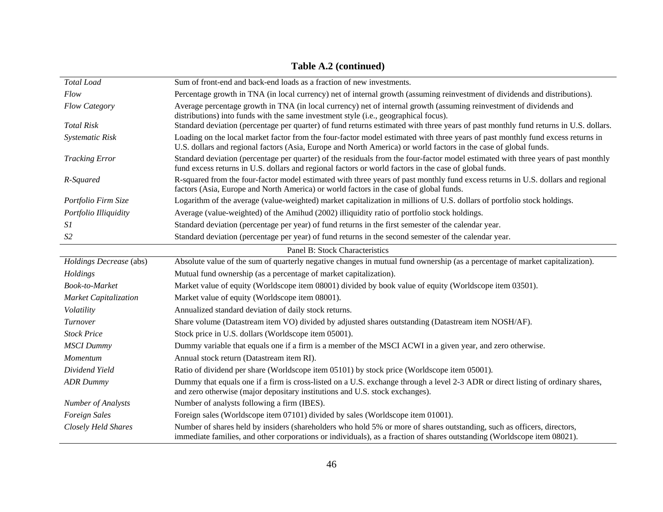| Total Load                   | Sum of front-end and back-end loads as a fraction of new investments.                                                                                                                                                                               |
|------------------------------|-----------------------------------------------------------------------------------------------------------------------------------------------------------------------------------------------------------------------------------------------------|
| Flow                         | Percentage growth in TNA (in local currency) net of internal growth (assuming reinvestment of dividends and distributions).                                                                                                                         |
| Flow Category                | Average percentage growth in TNA (in local currency) net of internal growth (assuming reinvestment of dividends and<br>distributions) into funds with the same investment style (i.e., geographical focus).                                         |
| <b>Total Risk</b>            | Standard deviation (percentage per quarter) of fund returns estimated with three years of past monthly fund returns in U.S. dollars.                                                                                                                |
| Systematic Risk              | Loading on the local market factor from the four-factor model estimated with three years of past monthly fund excess returns in<br>U.S. dollars and regional factors (Asia, Europe and North America) or world factors in the case of global funds. |
| <b>Tracking Error</b>        | Standard deviation (percentage per quarter) of the residuals from the four-factor model estimated with three years of past monthly<br>fund excess returns in U.S. dollars and regional factors or world factors in the case of global funds.        |
| R-Squared                    | R-squared from the four-factor model estimated with three years of past monthly fund excess returns in U.S. dollars and regional<br>factors (Asia, Europe and North America) or world factors in the case of global funds.                          |
| Portfolio Firm Size          | Logarithm of the average (value-weighted) market capitalization in millions of U.S. dollars of portfolio stock holdings.                                                                                                                            |
| Portfolio Illiquidity        | Average (value-weighted) of the Amihud (2002) illiquidity ratio of portfolio stock holdings.                                                                                                                                                        |
| <i>S1</i>                    | Standard deviation (percentage per year) of fund returns in the first semester of the calendar year.                                                                                                                                                |
| S <sub>2</sub>               | Standard deviation (percentage per year) of fund returns in the second semester of the calendar year.                                                                                                                                               |
|                              | Panel B: Stock Characteristics                                                                                                                                                                                                                      |
| Holdings Decrease (abs)      | Absolute value of the sum of quarterly negative changes in mutual fund ownership (as a percentage of market capitalization).                                                                                                                        |
| Holdings                     | Mutual fund ownership (as a percentage of market capitalization).                                                                                                                                                                                   |
| Book-to-Market               | Market value of equity (Worldscope item 08001) divided by book value of equity (Worldscope item 03501).                                                                                                                                             |
| <b>Market Capitalization</b> | Market value of equity (Worldscope item 08001).                                                                                                                                                                                                     |
| Volatility                   | Annualized standard deviation of daily stock returns.                                                                                                                                                                                               |
| Turnover                     | Share volume (Datastream item VO) divided by adjusted shares outstanding (Datastream item NOSH/AF).                                                                                                                                                 |
| <b>Stock Price</b>           | Stock price in U.S. dollars (Worldscope item 05001).                                                                                                                                                                                                |
| <b>MSCI</b> Dummy            | Dummy variable that equals one if a firm is a member of the MSCI ACWI in a given year, and zero otherwise.                                                                                                                                          |
| Momentum                     | Annual stock return (Datastream item RI).                                                                                                                                                                                                           |
| Dividend Yield               | Ratio of dividend per share (Worldscope item 05101) by stock price (Worldscope item 05001).                                                                                                                                                         |
| <b>ADR</b> Dummy             | Dummy that equals one if a firm is cross-listed on a U.S. exchange through a level 2-3 ADR or direct listing of ordinary shares,<br>and zero otherwise (major depositary institutions and U.S. stock exchanges).                                    |
| <b>Number of Analysts</b>    | Number of analysts following a firm (IBES).                                                                                                                                                                                                         |
| Foreign Sales                | Foreign sales (Worldscope item 07101) divided by sales (Worldscope item 01001).                                                                                                                                                                     |
| Closely Held Shares          | Number of shares held by insiders (shareholders who hold 5% or more of shares outstanding, such as officers, directors,<br>immediate families, and other corporations or individuals), as a fraction of shares outstanding (Worldscope item 08021). |

# **Table A.2 (continued)**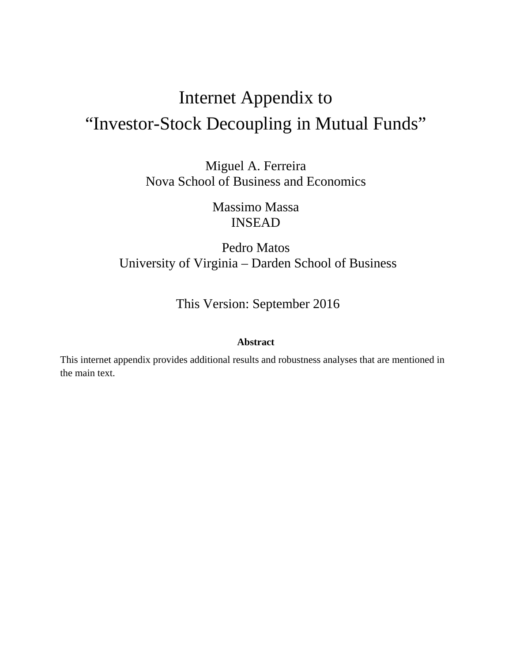# Internet Appendix to "Investor-Stock Decoupling in Mutual Funds"

Miguel A. Ferreira Nova School of Business and Economics

> Massimo Massa INSEAD

Pedro Matos University of Virginia – Darden School of Business

This Version: September 2016

#### **Abstract**

This internet appendix provides additional results and robustness analyses that are mentioned in the main text.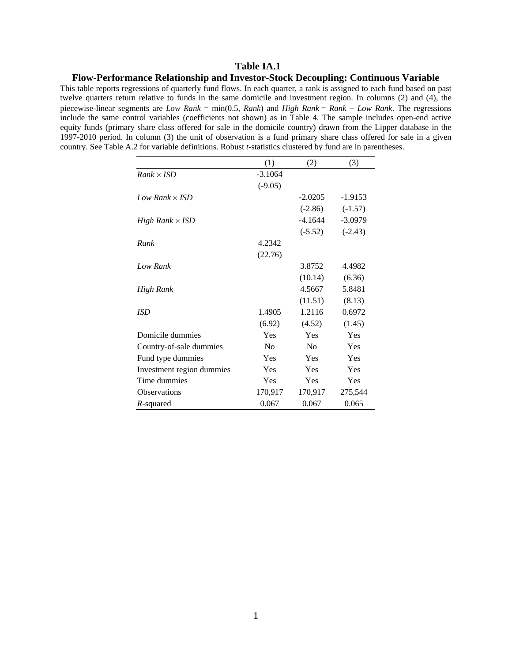#### **Table IA.1**

#### **Flow-Performance Relationship and Investor-Stock Decoupling: Continuous Variable**

This table reports regressions of quarterly fund flows. In each quarter, a rank is assigned to each fund based on past twelve quarters return relative to funds in the same domicile and investment region. In columns (2) and (4), the piecewise-linear segments are *Low Rank* = min(0.5, *Rank*) and *High Rank* = *Rank Low Rank*. The regressions include the same control variables (coefficients not shown) as in Table 4. The sample includes open-end active equity funds (primary share class offered for sale in the domicile country) drawn from the Lipper database in the 1997-2010 period. In column (3) the unit of observation is a fund primary share class offered for sale in a given country. See Table A.2 for variable definitions. Robust *t-*statistics clustered by fund are in parentheses.

|                           | (1)            | (2)       | (3)       |
|---------------------------|----------------|-----------|-----------|
| $Rank \times ISD$         | $-3.1064$      |           |           |
|                           | $(-9.05)$      |           |           |
| Low Rank $\times$ ISD     |                | $-2.0205$ | $-1.9153$ |
|                           |                | $(-2.86)$ | $(-1.57)$ |
| High Rank $\times$ ISD    |                | -4.1644   | $-3.0979$ |
|                           |                | $(-5.52)$ | $(-2.43)$ |
| Rank                      | 4.2342         |           |           |
|                           | (22.76)        |           |           |
| Low Rank                  |                | 3.8752    | 4.4982    |
|                           |                | (10.14)   | (6.36)    |
| High Rank                 |                | 4.5667    | 5.8481    |
|                           |                | (11.51)   | (8.13)    |
| <b>ISD</b>                | 1.4905         | 1.2116    | 0.6972    |
|                           | (6.92)         | (4.52)    | (1.45)    |
| Domicile dummies          | Yes            | Yes       | Yes       |
| Country-of-sale dummies   | N <sub>0</sub> | No        | Yes       |
| Fund type dummies         | Yes            | Yes       | Yes       |
| Investment region dummies | Yes            | Yes       | Yes       |
| Time dummies              | Yes            | Yes       | Yes       |
| <b>Observations</b>       | 170,917        | 170,917   | 275,544   |
| R-squared                 | 0.067          | 0.067     | 0.065     |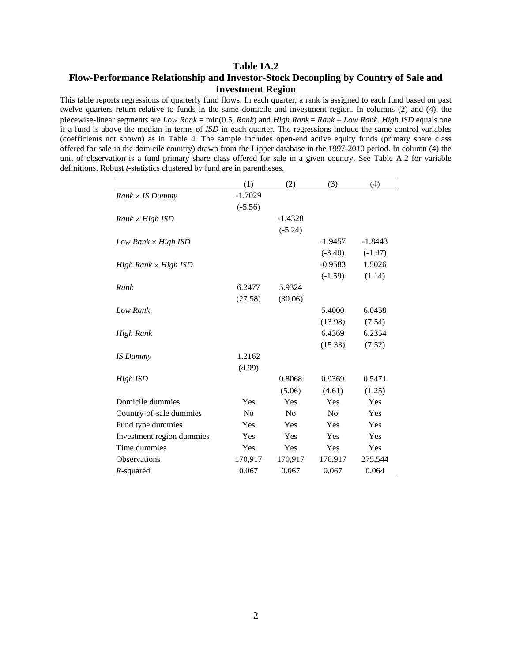#### **Table IA.2 Flow-Performance Relationship and Investor-Stock Decoupling by Country of Sale and Investment Region**

This table reports regressions of quarterly fund flows. In each quarter, a rank is assigned to each fund based on past twelve quarters return relative to funds in the same domicile and investment region. In columns (2) and (4), the piecewise-linear segments are *Low Rank* = min(0.5, *Rank*) and *High Rank* = *Rank Low Rank*. *High ISD* equals one if a fund is above the median in terms of *ISD* in each quarter. The regressions include the same control variables (coefficients not shown) as in Table 4. The sample includes open-end active equity funds (primary share class offered for sale in the domicile country) drawn from the Lipper database in the 1997-2010 period. In column (4) the unit of observation is a fund primary share class offered for sale in a given country. See Table A.2 for variable definitions. Robust *t-*statistics clustered by fund are in parentheses.

|                             | (1)       | (2)       | (3)            | (4)       |
|-----------------------------|-----------|-----------|----------------|-----------|
| $Rank \times IS$ Dummy      | $-1.7029$ |           |                |           |
|                             | $(-5.56)$ |           |                |           |
| $Rank \times High ISD$      |           | $-1.4328$ |                |           |
|                             |           | $(-5.24)$ |                |           |
| Low Rank $\times$ High ISD  |           |           | $-1.9457$      | $-1.8443$ |
|                             |           |           | $(-3.40)$      | $(-1.47)$ |
| $High Rank \times High ISD$ |           |           | $-0.9583$      | 1.5026    |
|                             |           |           | $(-1.59)$      | (1.14)    |
| Rank                        | 6.2477    | 5.9324    |                |           |
|                             | (27.58)   | (30.06)   |                |           |
| Low Rank                    |           |           | 5.4000         | 6.0458    |
|                             |           |           | (13.98)        | (7.54)    |
| High Rank                   |           |           | 6.4369         | 6.2354    |
|                             |           |           | (15.33)        | (7.52)    |
| <b>IS Dummy</b>             | 1.2162    |           |                |           |
|                             | (4.99)    |           |                |           |
| High ISD                    |           | 0.8068    | 0.9369         | 0.5471    |
|                             |           | (5.06)    | (4.61)         | (1.25)    |
| Domicile dummies            | Yes       | Yes       | Yes            | Yes       |
| Country-of-sale dummies     | No        | No        | N <sub>0</sub> | Yes       |
| Fund type dummies           | Yes       | Yes       | Yes            | Yes       |
| Investment region dummies   | Yes       | Yes       | Yes            | Yes       |
| Time dummies                | Yes       | Yes       | Yes            | Yes       |
| <b>Observations</b>         | 170,917   | 170,917   | 170,917        | 275,544   |
| R-squared                   | 0.067     | 0.067     | 0.067          | 0.064     |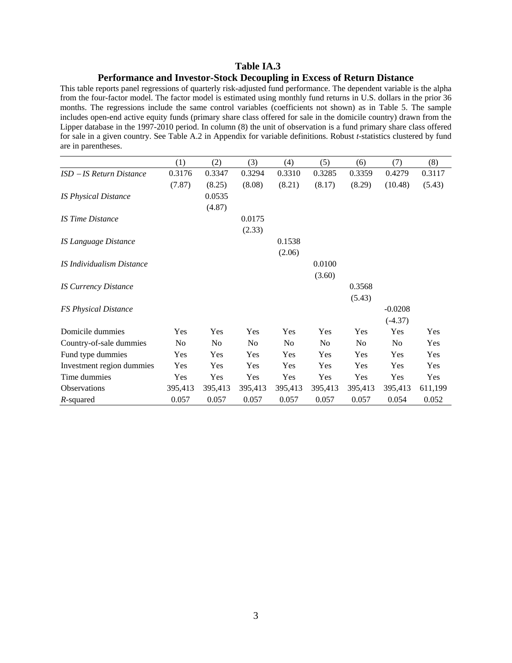#### **Table IA.3 Performance and Investor-Stock Decoupling in Excess of Return Distance**

This table reports panel regressions of quarterly risk-adjusted fund performance. The dependent variable is the alpha from the four-factor model. The factor model is estimated using monthly fund returns in U.S. dollars in the prior 36 months. The regressions include the same control variables (coefficients not shown) as in Table 5. The sample includes open-end active equity funds (primary share class offered for sale in the domicile country) drawn from the Lipper database in the 1997-2010 period. In column (8) the unit of observation is a fund primary share class offered for sale in a given country. See Table A.2 in Appendix for variable definitions. Robust *t-*statistics clustered by fund are in parentheses.

|                             | (1)     | (2)     | (3)            | (4)            | (5)     | (6)            | (7)       | (8)     |
|-----------------------------|---------|---------|----------------|----------------|---------|----------------|-----------|---------|
| $ISD - IS$ Return Distance  | 0.3176  | 0.3347  | 0.3294         | 0.3310         | 0.3285  | 0.3359         | 0.4279    | 0.3117  |
|                             | (7.87)  | (8.25)  | (8.08)         | (8.21)         | (8.17)  | (8.29)         | (10.48)   | (5.43)  |
| <b>IS Physical Distance</b> |         | 0.0535  |                |                |         |                |           |         |
|                             |         | (4.87)  |                |                |         |                |           |         |
| <b>IS Time Distance</b>     |         |         | 0.0175         |                |         |                |           |         |
|                             |         |         | (2.33)         |                |         |                |           |         |
| IS Language Distance        |         |         |                | 0.1538         |         |                |           |         |
|                             |         |         |                | (2.06)         |         |                |           |         |
| IS Individualism Distance   |         |         |                |                | 0.0100  |                |           |         |
|                             |         |         |                |                | (3.60)  |                |           |         |
| <b>IS Currency Distance</b> |         |         |                |                |         | 0.3568         |           |         |
|                             |         |         |                |                |         | (5.43)         |           |         |
| <b>FS Physical Distance</b> |         |         |                |                |         |                | $-0.0208$ |         |
|                             |         |         |                |                |         |                | $(-4.37)$ |         |
| Domicile dummies            | Yes     | Yes     | Yes            | Yes            | Yes     | Yes            | Yes       | Yes     |
| Country-of-sale dummies     | No      | No      | N <sub>0</sub> | N <sub>o</sub> | No      | N <sub>0</sub> | No        | Yes     |
| Fund type dummies           | Yes     | Yes     | Yes            | Yes            | Yes     | Yes            | Yes       | Yes     |
| Investment region dummies   | Yes     | Yes     | Yes            | Yes            | Yes     | Yes            | Yes       | Yes     |
| Time dummies                | Yes     | Yes     | Yes            | Yes            | Yes     | Yes            | Yes       | Yes     |
| Observations                | 395,413 | 395,413 | 395,413        | 395,413        | 395,413 | 395,413        | 395,413   | 611,199 |
| R-squared                   | 0.057   | 0.057   | 0.057          | 0.057          | 0.057   | 0.057          | 0.054     | 0.052   |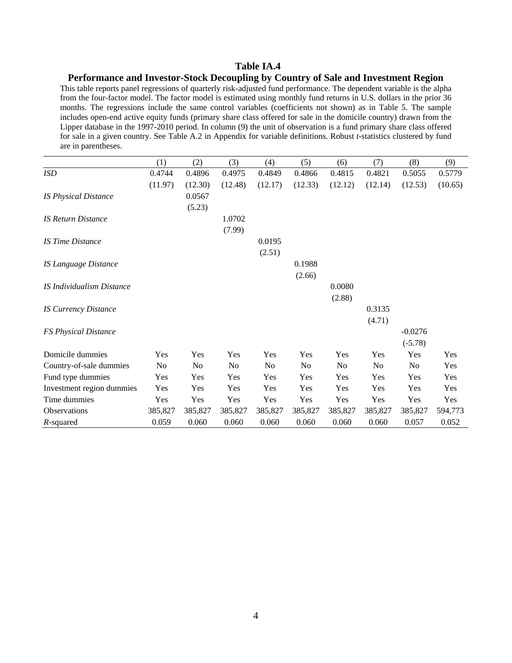#### **Table IA.4**

#### **Performance and Investor-Stock Decoupling by Country of Sale and Investment Region**

This table reports panel regressions of quarterly risk-adjusted fund performance. The dependent variable is the alpha from the four-factor model. The factor model is estimated using monthly fund returns in U.S. dollars in the prior 36 months. The regressions include the same control variables (coefficients not shown) as in Table 5. The sample includes open-end active equity funds (primary share class offered for sale in the domicile country) drawn from the Lipper database in the 1997-2010 period. In column (9) the unit of observation is a fund primary share class offered for sale in a given country. See Table A.2 in Appendix for variable definitions. Robust *t-*statistics clustered by fund are in parentheses.

|                             | (1)            | (2)     | (3)            | (4)            | (5)            | (6)            | (7)     | (8)            | (9)     |
|-----------------------------|----------------|---------|----------------|----------------|----------------|----------------|---------|----------------|---------|
| ISD                         | 0.4744         | 0.4896  | 0.4975         | 0.4849         | 0.4866         | 0.4815         | 0.4821  | 0.5055         | 0.5779  |
|                             | (11.97)        | (12.30) | (12.48)        | (12.17)        | (12.33)        | (12.12)        | (12.14) | (12.53)        | (10.65) |
| <b>IS Physical Distance</b> |                | 0.0567  |                |                |                |                |         |                |         |
|                             |                | (5.23)  |                |                |                |                |         |                |         |
| <b>IS Return Distance</b>   |                |         | 1.0702         |                |                |                |         |                |         |
|                             |                |         | (7.99)         |                |                |                |         |                |         |
| <b>IS Time Distance</b>     |                |         |                | 0.0195         |                |                |         |                |         |
|                             |                |         |                | (2.51)         |                |                |         |                |         |
| <b>IS Language Distance</b> |                |         |                |                | 0.1988         |                |         |                |         |
|                             |                |         |                |                | (2.66)         |                |         |                |         |
| IS Individualism Distance   |                |         |                |                |                | 0.0080         |         |                |         |
|                             |                |         |                |                |                | (2.88)         |         |                |         |
| <b>IS Currency Distance</b> |                |         |                |                |                |                | 0.3135  |                |         |
|                             |                |         |                |                |                |                | (4.71)  |                |         |
| <b>FS Physical Distance</b> |                |         |                |                |                |                |         | $-0.0276$      |         |
|                             |                |         |                |                |                |                |         | $(-5.78)$      |         |
| Domicile dummies            | Yes            | Yes     | Yes            | Yes            | Yes            | Yes            | Yes     | Yes            | Yes     |
| Country-of-sale dummies     | N <sub>0</sub> | No      | N <sub>0</sub> | N <sub>0</sub> | N <sub>0</sub> | N <sub>0</sub> | No      | N <sub>0</sub> | Yes     |
| Fund type dummies           | Yes            | Yes     | Yes            | Yes            | Yes            | Yes            | Yes     | Yes            | Yes     |
| Investment region dummies   | Yes            | Yes     | Yes            | Yes            | Yes            | Yes            | Yes     | Yes            | Yes     |
| Time dummies                | Yes            | Yes     | Yes            | Yes            | Yes            | Yes            | Yes     | Yes            | Yes     |
| <b>Observations</b>         | 385,827        | 385,827 | 385,827        | 385,827        | 385,827        | 385,827        | 385,827 | 385,827        | 594,773 |
| R-squared                   | 0.059          | 0.060   | 0.060          | 0.060          | 0.060          | 0.060          | 0.060   | 0.057          | 0.052   |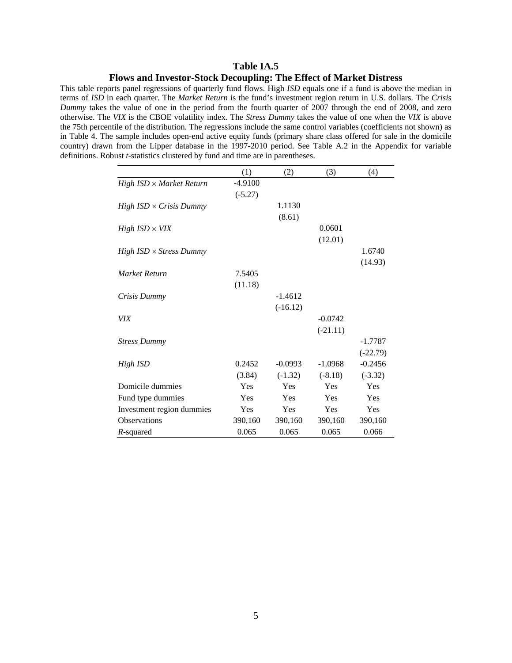#### **Table IA.5 Flows and Investor-Stock Decoupling: The Effect of Market Distress**

This table reports panel regressions of quarterly fund flows. High *ISD* equals one if a fund is above the median in terms of *ISD* in each quarter. The *Market Return* is the fund's investment region return in U.S. dollars. The *Crisis Dummy* takes the value of one in the period from the fourth quarter of 2007 through the end of 2008, and zero otherwise. The *VIX* is the CBOE volatility index. The *Stress Dummy* takes the value of one when the *VIX* is above the 75th percentile of the distribution. The regressions include the same control variables (coefficients not shown) as in Table 4. The sample includes open-end active equity funds (primary share class offered for sale in the domicile country) drawn from the Lipper database in the 1997-2010 period. See Table A.2 in the Appendix for variable definitions. Robust *t-*statistics clustered by fund and time are in parentheses.

|                                 | (1)       | (2)        | (3)        | (4)        |
|---------------------------------|-----------|------------|------------|------------|
| $High ISD \times Market Return$ | $-4.9100$ |            |            |            |
|                                 | $(-5.27)$ |            |            |            |
| $High ISD \times Crisis$ Dummy  |           | 1.1130     |            |            |
|                                 |           | (8.61)     |            |            |
| $High ISD \times VIX$           |           |            | 0.0601     |            |
|                                 |           |            | (12.01)    |            |
| $High ISD \times Stress$ Dummy  |           |            |            | 1.6740     |
|                                 |           |            |            | (14.93)    |
| Market Return                   | 7.5405    |            |            |            |
|                                 | (11.18)   |            |            |            |
| Crisis Dummy                    |           | $-1.4612$  |            |            |
|                                 |           | $(-16.12)$ |            |            |
| <b>VIX</b>                      |           |            | $-0.0742$  |            |
|                                 |           |            | $(-21.11)$ |            |
| <b>Stress Dummy</b>             |           |            |            | $-1.7787$  |
|                                 |           |            |            | $(-22.79)$ |
| High ISD                        | 0.2452    | $-0.0993$  | $-1.0968$  | $-0.2456$  |
|                                 | (3.84)    | $(-1.32)$  | $(-8.18)$  | $(-3.32)$  |
| Domicile dummies                | Yes       | Yes        | Yes        | Yes        |
| Fund type dummies               | Yes       | Yes        | Yes        | Yes        |
| Investment region dummies       | Yes       | Yes        | Yes        | Yes        |
| <b>Observations</b>             | 390,160   | 390,160    | 390,160    | 390,160    |
| R-squared                       | 0.065     | 0.065      | 0.065      | 0.066      |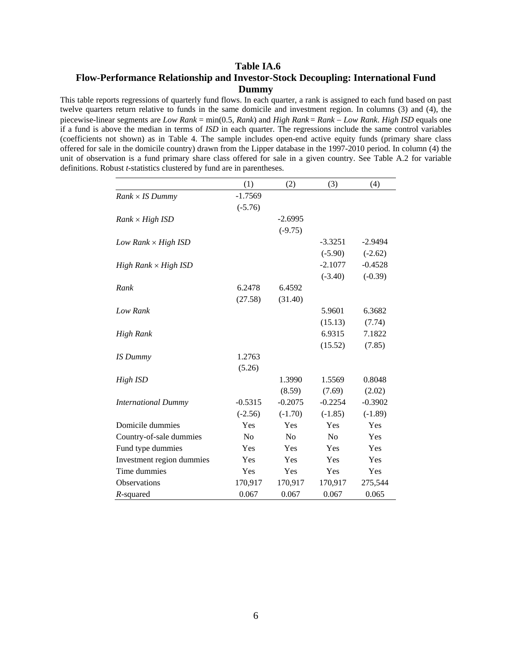#### **Table IA.6 Flow-Performance Relationship and Investor-Stock Decoupling: International Fund Dummy**

This table reports regressions of quarterly fund flows. In each quarter, a rank is assigned to each fund based on past twelve quarters return relative to funds in the same domicile and investment region. In columns (3) and (4), the piecewise-linear segments are *Low Rank* = min(0.5, *Rank*) and *High Rank* = *Rank Low Rank*. *High ISD* equals one if a fund is above the median in terms of *ISD* in each quarter. The regressions include the same control variables (coefficients not shown) as in Table 4. The sample includes open-end active equity funds (primary share class offered for sale in the domicile country) drawn from the Lipper database in the 1997-2010 period. In column (4) the unit of observation is a fund primary share class offered for sale in a given country. See Table A.2 for variable definitions. Robust *t-*statistics clustered by fund are in parentheses.

|                             | (1)            | (2)            | (3)            | (4)       |
|-----------------------------|----------------|----------------|----------------|-----------|
| $Rank \times IS$ Dummy      | $-1.7569$      |                |                |           |
|                             | $(-5.76)$      |                |                |           |
| $Rank \times High ISD$      |                | $-2.6995$      |                |           |
|                             |                | $(-9.75)$      |                |           |
| Low Rank $\times$ High ISD  |                |                | $-3.3251$      | $-2.9494$ |
|                             |                |                | $(-5.90)$      | $(-2.62)$ |
| $High Rank \times High ISD$ |                |                | $-2.1077$      | $-0.4528$ |
|                             |                |                | $(-3.40)$      | $(-0.39)$ |
| Rank                        | 6.2478         | 6.4592         |                |           |
|                             | (27.58)        | (31.40)        |                |           |
| Low Rank                    |                |                | 5.9601         | 6.3682    |
|                             |                |                | (15.13)        | (7.74)    |
| High Rank                   |                |                | 6.9315         | 7.1822    |
|                             |                |                | (15.52)        | (7.85)    |
| <b>IS</b> Dummy             | 1.2763         |                |                |           |
|                             | (5.26)         |                |                |           |
| High ISD                    |                | 1.3990         | 1.5569         | 0.8048    |
|                             |                | (8.59)         | (7.69)         | (2.02)    |
| <b>International Dummy</b>  | $-0.5315$      | $-0.2075$      | $-0.2254$      | $-0.3902$ |
|                             | $(-2.56)$      | $(-1.70)$      | $(-1.85)$      | $(-1.89)$ |
| Domicile dummies            | Yes            | Yes            | Yes            | Yes       |
| Country-of-sale dummies     | N <sub>o</sub> | N <sub>o</sub> | N <sub>0</sub> | Yes       |
| Fund type dummies           | Yes            | Yes            | Yes            | Yes       |
| Investment region dummies   | Yes            | Yes            | Yes            | Yes       |
| Time dummies                | Yes            | Yes            | Yes            | Yes       |
| Observations                | 170,917        | 170,917        | 170,917        | 275,544   |
| R-squared                   | 0.067          | 0.067          | 0.067          | 0.065     |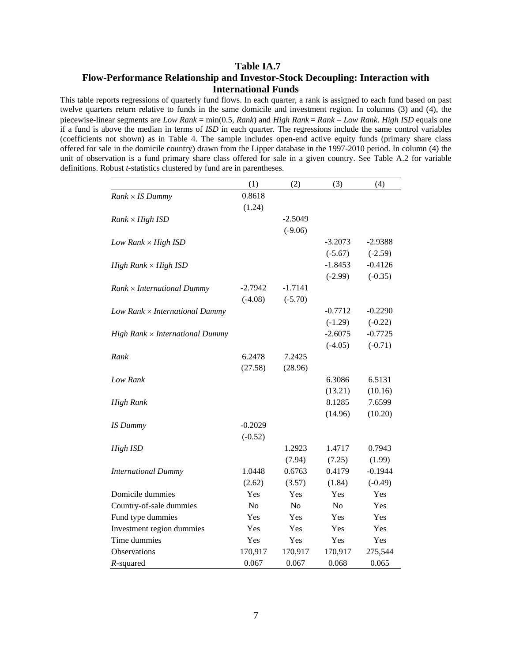#### **Table IA.7 Flow-Performance Relationship and Investor-Stock Decoupling: Interaction with International Funds**

This table reports regressions of quarterly fund flows. In each quarter, a rank is assigned to each fund based on past twelve quarters return relative to funds in the same domicile and investment region. In columns (3) and (4), the piecewise-linear segments are *Low Rank* = min(0.5, *Rank*) and *High Rank* = *Rank Low Rank*. *High ISD* equals one if a fund is above the median in terms of *ISD* in each quarter. The regressions include the same control variables (coefficients not shown) as in Table 4. The sample includes open-end active equity funds (primary share class offered for sale in the domicile country) drawn from the Lipper database in the 1997-2010 period. In column (4) the unit of observation is a fund primary share class offered for sale in a given country. See Table A.2 for variable definitions. Robust *t-*statistics clustered by fund are in parentheses.

|                                        | (1)            | (2)            | (3)            | (4)       |
|----------------------------------------|----------------|----------------|----------------|-----------|
| $Rank \times IS$ Dummy                 | 0.8618         |                |                |           |
|                                        | (1.24)         |                |                |           |
| $Rank \times High ISD$                 |                | $-2.5049$      |                |           |
|                                        |                | $(-9.06)$      |                |           |
| Low Rank $\times$ High ISD             |                |                | $-3.2073$      | $-2.9388$ |
|                                        |                |                | $(-5.67)$      | $(-2.59)$ |
| High Rank $\times$ High ISD            |                |                | $-1.8453$      | $-0.4126$ |
|                                        |                |                | $(-2.99)$      | $(-0.35)$ |
| $Rank \times International$ Dummy      | $-2.7942$      | $-1.7141$      |                |           |
|                                        | $(-4.08)$      | $(-5.70)$      |                |           |
| Low Rank $\times$ International Dummy  |                |                | $-0.7712$      | $-0.2290$ |
|                                        |                |                | $(-1.29)$      | $(-0.22)$ |
| High Rank $\times$ International Dummy |                |                | $-2.6075$      | $-0.7725$ |
|                                        |                |                | $(-4.05)$      | $(-0.71)$ |
| Rank                                   | 6.2478         | 7.2425         |                |           |
|                                        | (27.58)        | (28.96)        |                |           |
| Low Rank                               |                |                | 6.3086         | 6.5131    |
|                                        |                |                | (13.21)        | (10.16)   |
| <b>High Rank</b>                       |                |                | 8.1285         | 7.6599    |
|                                        |                |                | (14.96)        | (10.20)   |
| <b>IS</b> Dummy                        | $-0.2029$      |                |                |           |
|                                        | $(-0.52)$      |                |                |           |
| High ISD                               |                | 1.2923         | 1.4717         | 0.7943    |
|                                        |                | (7.94)         | (7.25)         | (1.99)    |
| <b>International Dummy</b>             | 1.0448         | 0.6763         | 0.4179         | $-0.1944$ |
|                                        | (2.62)         | (3.57)         | (1.84)         | $(-0.49)$ |
| Domicile dummies                       | Yes            | Yes            | Yes            | Yes       |
| Country-of-sale dummies                | N <sub>0</sub> | N <sub>0</sub> | N <sub>o</sub> | Yes       |
| Fund type dummies                      | Yes            | Yes            | Yes            | Yes       |
| Investment region dummies              | Yes            | Yes            | Yes            | Yes       |
| Time dummies                           | Yes            | Yes            | Yes            | Yes       |
| Observations                           | 170,917        | 170,917        | 170,917        | 275,544   |
| $R$ -squared                           | 0.067          | 0.067          | 0.068          | 0.065     |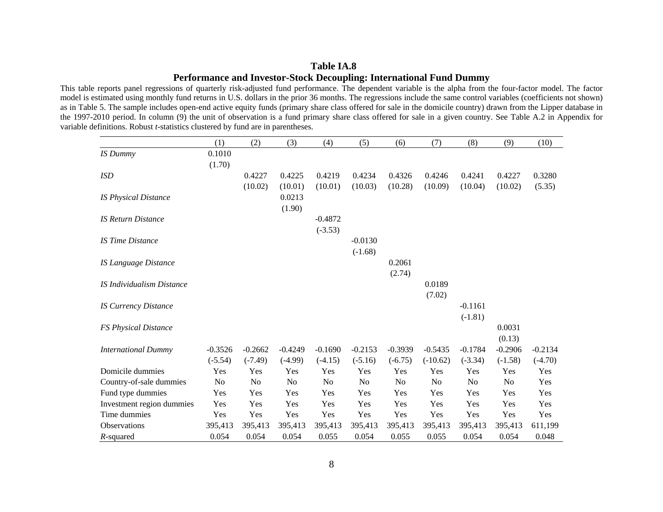#### **Table IA.8 Performance and Investor-Stock Decoupling: International Fund Dummy**

This table reports panel regressions of quarterly risk-adjusted fund performance. The dependent variable is the alpha from the four-factor model. The factor model is estimated using monthly fund returns in U.S. dollars in the prior 36 months. The regressions include the same control variables (coefficients not shown) as in Table 5. The sample includes open-end active equity funds (primary share class offered for sale in the domicile country) drawn from the Lipper database in the 1997-2010 period. In column (9) the unit of observation is a fund primary share class offered for sale in a given country. See Table A.2 in Appendix for variable definitions. Robust *t-*statistics clustered by fund are in parentheses.

|                                  | (1)       | (2)       | (3)            | (4)            | (5)       | (6)            | (7)            | (8)            | (9)       | (10)      |
|----------------------------------|-----------|-----------|----------------|----------------|-----------|----------------|----------------|----------------|-----------|-----------|
| <b>IS</b> Dummy                  | 0.1010    |           |                |                |           |                |                |                |           |           |
|                                  | (1.70)    |           |                |                |           |                |                |                |           |           |
| <b>ISD</b>                       |           | 0.4227    | 0.4225         | 0.4219         | 0.4234    | 0.4326         | 0.4246         | 0.4241         | 0.4227    | 0.3280    |
|                                  |           | (10.02)   | (10.01)        | (10.01)        | (10.03)   | (10.28)        | (10.09)        | (10.04)        | (10.02)   | (5.35)    |
| <b>IS Physical Distance</b>      |           |           | 0.0213         |                |           |                |                |                |           |           |
|                                  |           |           | (1.90)         |                |           |                |                |                |           |           |
| <b>IS Return Distance</b>        |           |           |                | $-0.4872$      |           |                |                |                |           |           |
|                                  |           |           |                | $(-3.53)$      |           |                |                |                |           |           |
| <b>IS Time Distance</b>          |           |           |                |                | $-0.0130$ |                |                |                |           |           |
|                                  |           |           |                |                | $(-1.68)$ |                |                |                |           |           |
| <b>IS Language Distance</b>      |           |           |                |                |           | 0.2061         |                |                |           |           |
|                                  |           |           |                |                |           | (2.74)         |                |                |           |           |
| <b>IS Individualism Distance</b> |           |           |                |                |           |                | 0.0189         |                |           |           |
|                                  |           |           |                |                |           |                | (7.02)         |                |           |           |
| <b>IS Currency Distance</b>      |           |           |                |                |           |                |                | $-0.1161$      |           |           |
|                                  |           |           |                |                |           |                |                | $(-1.81)$      |           |           |
| <b>FS Physical Distance</b>      |           |           |                |                |           |                |                |                | 0.0031    |           |
|                                  |           |           |                |                |           |                |                |                | (0.13)    |           |
| <b>International Dummy</b>       | $-0.3526$ | $-0.2662$ | $-0.4249$      | $-0.1690$      | $-0.2153$ | $-0.3939$      | $-0.5435$      | $-0.1784$      | $-0.2906$ | $-0.2134$ |
|                                  | $(-5.54)$ | $(-7.49)$ | $(-4.99)$      | $(-4.15)$      | $(-5.16)$ | $(-6.75)$      | $(-10.62)$     | $(-3.34)$      | $(-1.58)$ | $(-4.70)$ |
| Domicile dummies                 | Yes       | Yes       | Yes            | Yes            | Yes       | Yes            | Yes            | Yes            | Yes       | Yes       |
| Country-of-sale dummies          | No        | No        | N <sub>o</sub> | N <sub>0</sub> | No        | N <sub>0</sub> | N <sub>0</sub> | N <sub>0</sub> | No        | Yes       |
| Fund type dummies                | Yes       | Yes       | Yes            | Yes            | Yes       | Yes            | Yes            | Yes            | Yes       | Yes       |
| Investment region dummies        | Yes       | Yes       | Yes            | Yes            | Yes       | Yes            | Yes            | Yes            | Yes       | Yes       |
| Time dummies                     | Yes       | Yes       | Yes            | Yes            | Yes       | Yes            | Yes            | Yes            | Yes       | Yes       |
| Observations                     | 395,413   | 395,413   | 395,413        | 395,413        | 395,413   | 395,413        | 395,413        | 395,413        | 395,413   | 611,199   |
| $R$ -squared                     | 0.054     | 0.054     | 0.054          | 0.055          | 0.054     | 0.055          | 0.055          | 0.054          | 0.054     | 0.048     |